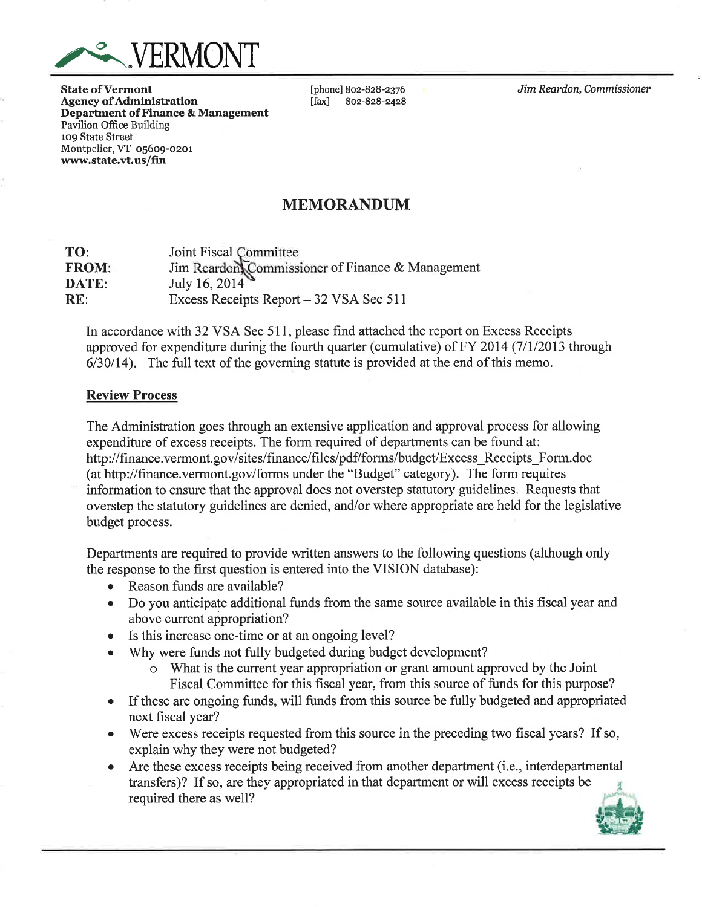

**State of Vermont Agency of Administration Department of Finance & Management Pavilion Office Building** 109 State Street Montpelier, VT 05609-0201 www.state.vt.us/fin

[phone] 802-828-2376  $\lceil \text{fax} \rceil$ 802-828-2428 Jim Reardon, Commissioner

# **MEMORANDUM**

TO: Joint Fiscal Committee Jim Reardon, Commissioner of Finance & Management **FROM: DATE:** July 16, 2014 Excess Receipts Report - 32 VSA Sec 511  $RE:$ 

In accordance with 32 VSA Sec 511, please find attached the report on Excess Receipts approved for expenditure during the fourth quarter (cumulative) of FY 2014 (7/1/2013 through  $6/30/14$ ). The full text of the governing statute is provided at the end of this memo.

### **Review Process**

The Administration goes through an extensive application and approval process for allowing expenditure of excess receipts. The form required of departments can be found at: http://finance.vermont.gov/sites/finance/files/pdf/forms/budget/Excess Receipts Form.doc (at http://finance.vermont.gov/forms under the "Budget" category). The form requires information to ensure that the approval does not overstep statutory guidelines. Requests that overstep the statutory guidelines are denied, and/or where appropriate are held for the legislative budget process.

Departments are required to provide written answers to the following questions (although only the response to the first question is entered into the VISION database):

- Reason funds are available?
- Do you anticipate additional funds from the same source available in this fiscal year and  $\bullet$ above current appropriation?
- $\bullet$ Is this increase one-time or at an ongoing level?
- Why were funds not fully budgeted during budget development?
	- What is the current year appropriation or grant amount approved by the Joint Fiscal Committee for this fiscal year, from this source of funds for this purpose?
- If these are ongoing funds, will funds from this source be fully budgeted and appropriated  $\bullet$ next fiscal year?
- Were excess receipts requested from this source in the preceding two fiscal years? If so,  $\bullet$ explain why they were not budgeted?
- Are these excess receipts being received from another department (i.e., interdepartmental  $\bullet$ transfers)? If so, are they appropriated in that department or will excess receipts be required there as well?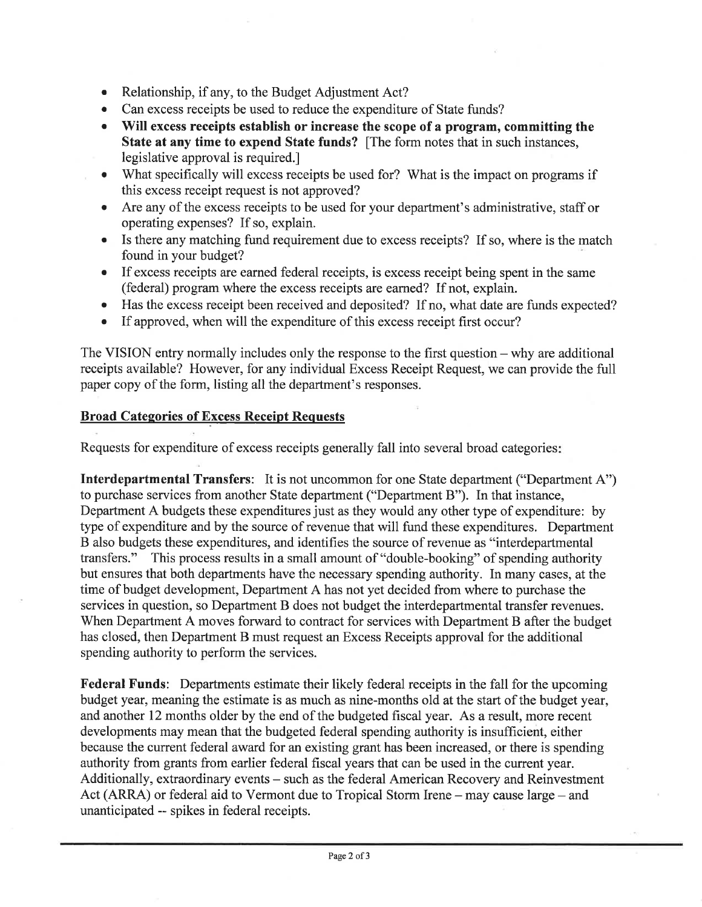- Relationship, if any, to the Budget Adjustment Act?  $\bullet$
- Can excess receipts be used to reduce the expenditure of State funds?  $\bullet$
- Will excess receipts establish or increase the scope of a program, committing the State at any time to expend State funds? [The form notes that in such instances, legislative approval is required.
- What specifically will excess receipts be used for? What is the impact on programs if this excess receipt request is not approved?
- Are any of the excess receipts to be used for your department's administrative, staff or  $\bullet$ operating expenses? If so, explain.
- Is there any matching fund requirement due to excess receipts? If so, where is the match  $\bullet$ found in your budget?
- If excess receipts are earned federal receipts, is excess receipt being spent in the same (federal) program where the excess receipts are earned? If not, explain.
- Has the excess receipt been received and deposited? If no, what date are funds expected?  $\bullet$
- If approved, when will the expenditure of this excess receipt first occur?  $\bullet$

The VISION entry normally includes only the response to the first question  $-$  why are additional receipts available? However, for any individual Excess Receipt Request, we can provide the full paper copy of the form, listing all the department's responses.

# **Broad Categories of Excess Receipt Requests**

Requests for expenditure of excess receipts generally fall into several broad categories:

**Interdepartmental Transfers:** It is not uncommon for one State department ("Department A") to purchase services from another State department ("Department B"). In that instance, Department A budgets these expenditures just as they would any other type of expenditure: by type of expenditure and by the source of revenue that will fund these expenditures. Department B also budgets these expenditures, and identifies the source of revenue as "interdepartmental" transfers." This process results in a small amount of "double-booking" of spending authority but ensures that both departments have the necessary spending authority. In many cases, at the time of budget development, Department A has not yet decided from where to purchase the services in question, so Department B does not budget the interdepartmental transfer revenues. When Department A moves forward to contract for services with Department B after the budget has closed, then Department B must request an Excess Receipts approval for the additional spending authority to perform the services.

**Federal Funds:** Departments estimate their likely federal receipts in the fall for the upcoming budget year, meaning the estimate is as much as nine-months old at the start of the budget year, and another 12 months older by the end of the budgeted fiscal year. As a result, more recent developments may mean that the budgeted federal spending authority is insufficient, either because the current federal award for an existing grant has been increased, or there is spending authority from grants from earlier federal fiscal years that can be used in the current year. Additionally, extraordinary events - such as the federal American Recovery and Reinvestment Act (ARRA) or federal aid to Vermont due to Tropical Storm Irene - may cause large - and unanticipated -- spikes in federal receipts.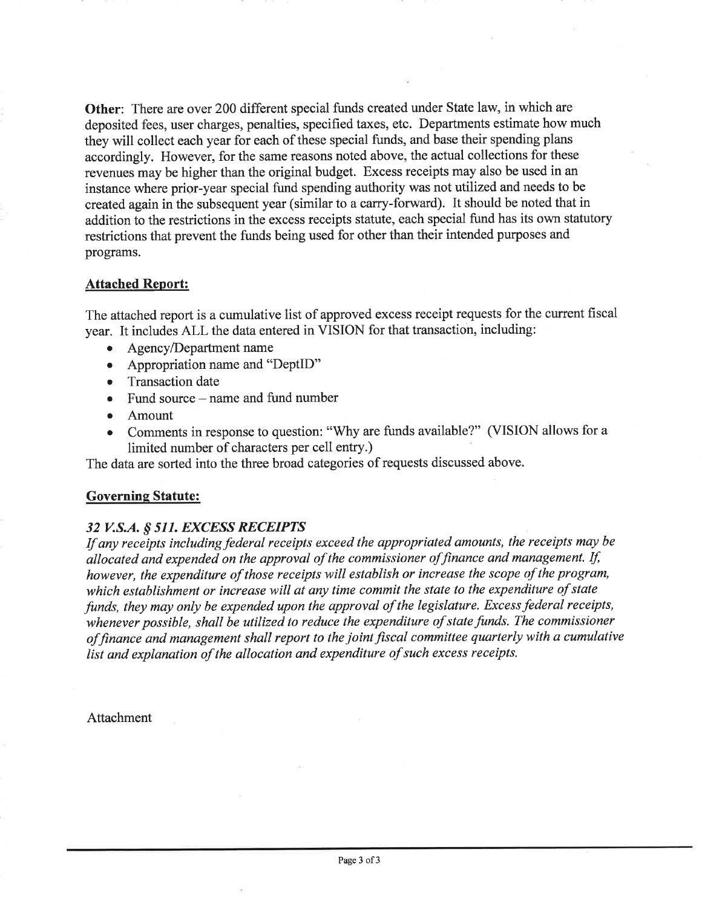**Other:** There are over 200 different special funds created under State law, in which are deposited fees, user charges, penalties, specified taxes, etc. Departments estimate how much they will collect each year for each of these special funds, and base their spending plans accordingly. However, for the same reasons noted above, the actual collections for these revenues may be higher than the original budget. Excess receipts may also be used in an instance where prior-year special fund spending authority was not utilized and needs to be created again in the subsequent year (similar to a carry-forward). It should be noted that in addition to the restrictions in the excess receipts statute, each special fund has its own statutory restrictions that prevent the funds being used for other than their intended purposes and programs.

### **Attached Report:**

The attached report is a cumulative list of approved excess receipt requests for the current fiscal year. It includes ALL the data entered in VISION for that transaction, including:

- Agency/Department name
- Appropriation name and "DeptID"
- Transaction date
- $\bullet$  Fund source name and fund number
- Amount
- Comments in response to question: "Why are funds available?" (VISION allows for a  $\bullet$ limited number of characters per cell entry.)

The data are sorted into the three broad categories of requests discussed above.

### **Governing Statute:**

## 32 V.S.A. § 511. EXCESS RECEIPTS

If any receipts including federal receipts exceed the appropriated amounts, the receipts may be allocated and expended on the approval of the commissioner of finance and management. If, however, the expenditure of those receipts will establish or increase the scope of the program, which establishment or increase will at any time commit the state to the expenditure of state funds, they may only be expended upon the approval of the legislature. Excess federal receipts, whenever possible, shall be utilized to reduce the expenditure of state funds. The commissioner of finance and management shall report to the joint fiscal committee quarterly with a cumulative list and explanation of the allocation and expenditure of such excess receipts.

Attachment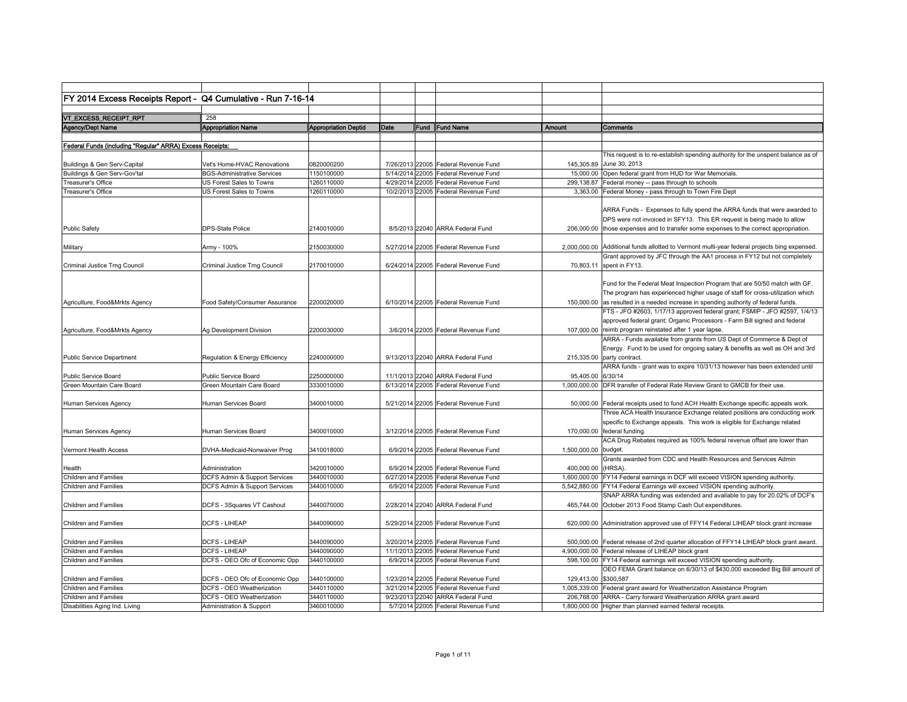| FY 2014 Excess Receipts Report - Q4 Cumulative - Run 7-16-14 |                                    |                             |                 |       |                                      |                      |                                                                                                        |
|--------------------------------------------------------------|------------------------------------|-----------------------------|-----------------|-------|--------------------------------------|----------------------|--------------------------------------------------------------------------------------------------------|
|                                                              |                                    |                             |                 |       |                                      |                      |                                                                                                        |
| VT_EXCESS_RECEIPT_RPT                                        | 258                                |                             |                 |       |                                      |                      |                                                                                                        |
| Agency/Dept Name                                             | <b>Appropriation Name</b>          | <b>Appropriation Deptid</b> | Date            |       | Fund Fund Name                       | Amount               | Comments                                                                                               |
|                                                              |                                    |                             |                 |       |                                      |                      |                                                                                                        |
| Federal Funds (including "Regular" ARRA) Excess Receipts:    |                                    |                             |                 |       |                                      |                      |                                                                                                        |
|                                                              |                                    |                             |                 |       |                                      |                      | This request is to re-establish spending authority for the unspent balance as of                       |
| Buildings & Gen Serv-Capital                                 | Vet's Home-HVAC Renovations        | 0820000200                  |                 |       | 7/26/2013 22005 Federal Revenue Fund |                      | 145,305.89 June 30, 2013                                                                               |
| Buildings & Gen Serv-Gov'tal                                 | <b>BGS-Administrative Services</b> | 1150100000                  |                 |       | 5/14/2014 22005 Federal Revenue Fund |                      | 15,000.00 Open federal grant from HUD for War Memorials.                                               |
| Treasurer's Office                                           | US Forest Sales to Towns           | 1260110000                  | 4/29/2014 22005 |       | Federal Revenue Fund                 |                      | 299,138.87 Federal money -- pass through to schools                                                    |
| Treasurer's Office                                           | US Forest Sales to Towns           | 1260110000                  |                 |       | 10/2/2013 22005 Federal Revenue Fund |                      | 3,363.00 Federal Money - pass through to Town Fire Dept                                                |
|                                                              |                                    |                             |                 |       |                                      |                      |                                                                                                        |
|                                                              |                                    |                             |                 |       |                                      |                      | ARRA Funds - Expenses to fully spend the ARRA funds that were awarded to                               |
|                                                              |                                    |                             |                 |       |                                      |                      | DPS were not invoiced in SFY13. This ER request is being made to allow                                 |
| <b>Public Safety</b>                                         | <b>DPS-State Police</b>            | 2140010000                  |                 |       | 8/5/2013 22040 ARRA Federal Fund     |                      | 206,000.00 those expenses and to transfer some expenses to the correct appropriation.                  |
|                                                              |                                    |                             |                 |       |                                      |                      |                                                                                                        |
| Military                                                     | Army - 100%                        | 2150030000                  |                 |       | 5/27/2014 22005 Federal Revenue Fund |                      | 2,000,000.00 Additional funds allotted to Vermont multi-year federal projects bing expensed.           |
|                                                              |                                    |                             |                 |       |                                      |                      | Grant approved by JFC through the AA1 process in FY12 but not completely                               |
| Criminal Justice Trng Council                                | Criminal Justice Trng Council      | 2170010000                  |                 |       | 6/24/2014 22005 Federal Revenue Fund |                      | 70,803.11 spent in FY13.                                                                               |
|                                                              |                                    |                             |                 |       |                                      |                      |                                                                                                        |
|                                                              |                                    |                             |                 |       |                                      |                      | Fund for the Federal Meat Inspection Program that are 50/50 match with GF.                             |
|                                                              |                                    |                             |                 |       |                                      |                      | The program has experienced higher usage of staff for cross-utilization which                          |
| Agriculture, Food&Mrkts Agency                               | Food Safety/Consumer Assurance     | 2200020000                  |                 |       | 6/10/2014 22005 Federal Revenue Fund |                      | 150,000.00 as resulted in a needed increase in spending authority of federal funds.                    |
|                                                              |                                    |                             |                 |       |                                      |                      | FTS - JFO #2603, 1/17/13 approved federal grant; FSMIP - JFO #2597, 1/4/13                             |
|                                                              |                                    |                             |                 |       |                                      |                      | approved federal grant; Organic Processors - Farm Bill signed and federal                              |
| Agriculture, Food&Mrkts Agency                               | Ag Development Division            | 2200030000                  |                 |       | 3/6/2014 22005 Federal Revenue Fund  |                      | 107,000.00 reimb program reinstated after 1 year lapse.                                                |
|                                                              |                                    |                             |                 |       |                                      |                      | ARRA - Funds available from grants from US Dept of Commerce & Dept of                                  |
|                                                              |                                    |                             |                 |       |                                      |                      | Energy. Fund to be used for ongoing salary & benefits as well as OH and 3rd                            |
| <b>Public Service Department</b>                             | Regulation & Energy Efficiency     | 2240000000                  |                 |       | 9/13/2013 22040 ARRA Federal Fund    |                      | 215,335.00 party contract.                                                                             |
|                                                              |                                    |                             |                 |       |                                      |                      | ARRA funds - grant was to expire 10/31/13 however has been extended until                              |
| Public Service Board                                         | Public Service Board               | 2250000000                  |                 |       | 11/1/2013 22040 ARRA Federal Fund    | 95,405.00 6/30/14    |                                                                                                        |
| Green Mountain Care Board                                    | Green Mountain Care Board          | 3330010000                  |                 |       | 6/13/2014 22005 Federal Revenue Fund |                      | 1,000,000,00 DFR transfer of Federal Rate Review Grant to GMCB for their use.                          |
|                                                              |                                    |                             |                 |       |                                      |                      |                                                                                                        |
| Human Services Agency                                        | Human Services Board               | 3400010000                  |                 |       | 5/21/2014 22005 Federal Revenue Fund |                      | 50,000.00 Federal receipts used to fund ACH Health Exchange specific appeals work.                     |
|                                                              |                                    |                             |                 |       |                                      |                      | Three ACA Health Insurance Exchange related positions are conducting work                              |
|                                                              |                                    |                             |                 |       |                                      |                      | specific to Exchange appeals. This work is eligible for Exchange related                               |
|                                                              | Human Services Board               | 3400010000                  |                 |       |                                      |                      |                                                                                                        |
| Human Services Agency                                        |                                    |                             |                 |       | 3/12/2014 22005 Federal Revenue Fund |                      | 170,000.00 federal funding.<br>ACA Drug Rebates required as 100% federal revenue offset are lower than |
| Vermont Health Access                                        |                                    | 3410018000                  |                 |       | 6/9/2014 22005 Federal Revenue Fund  | 1,500,000.00 budget. |                                                                                                        |
|                                                              | DVHA-Medicaid-Nonwaiver Prog       |                             |                 |       |                                      |                      | Grants awarded from CDC and Health Resources and Services Admin                                        |
| Health                                                       | Administration                     | 3420010000                  |                 |       | 6/9/2014 22005 Federal Revenue Fund  | 400,000.00 (HRSA).   |                                                                                                        |
| <b>Children and Families</b>                                 | DCFS Admin & Support Services      | 3440010000                  |                 |       | 6/27/2014 22005 Federal Revenue Fund |                      | 1,600,000.00 FY14 Federal earnings in DCF will exceed VISION spending authority.                       |
| <b>Children and Families</b>                                 | DCFS Admin & Support Services      | 3440010000                  |                 |       | 6/9/2014 22005 Federal Revenue Fund  |                      | 5,542,880.00 FY14 Federal Earnings will exceed VISION spending authority.                              |
|                                                              |                                    |                             |                 |       |                                      |                      | SNAP ARRA funding was extended and available to pay for 20.02% of DCF's                                |
|                                                              |                                    | 3440070000                  |                 |       | 2/28/2014 22040 ARRA Federal Fund    |                      |                                                                                                        |
| Children and Families                                        | DCFS - 3Squares VT Cashout         |                             |                 |       |                                      |                      | 465,744.00 October 2013 Food Stamp Cash Out expenditures.                                              |
|                                                              |                                    |                             |                 |       |                                      |                      |                                                                                                        |
| <b>Children and Families</b>                                 | <b>DCFS - LIHEAP</b>               | 3440090000                  |                 |       | 5/29/2014 22005 Federal Revenue Fund |                      | 620,000.00 Administration approved use of FFY14 Federal LIHEAP block grant increase                    |
|                                                              | <b>DCFS - LIHEAP</b>               |                             |                 |       |                                      |                      |                                                                                                        |
| <b>Children and Families</b>                                 |                                    | 3440090000                  |                 |       | 3/20/2014 22005 Federal Revenue Fund |                      | 500,000.00 Federal release of 2nd quarter allocation of FFY14 LIHEAP block grant award.                |
| Children and Families                                        | <b>DCFS - LIHEAP</b>               | 3440090000                  | 11/1/2013       | 22005 | Federal Revenue Fund                 |                      | 4,900,000.00 Federal release of LIHEAP block grant                                                     |
| <b>Children and Families</b>                                 | DCFS - OEO Ofc of Economic Opp     | 3440100000                  |                 |       | 6/9/2014 22005 Federal Revenue Fund  |                      | 598,100.00 FY14 Federal earnings will exceed VISION spending authority.                                |
|                                                              |                                    |                             |                 |       |                                      |                      | OEO FEMA Grant balance on 6/30/13 of \$430,000 exceeded Big Bill amount of                             |
| <b>Children and Families</b>                                 | DCFS - OEO Ofc of Economic Opp     | 3440100000                  |                 |       | 1/23/2014 22005 Federal Revenue Fund | 129.413.00 \$300.587 |                                                                                                        |
| <b>Children and Families</b>                                 | DCFS - OEO Weatherization          | 3440110000                  |                 |       | 3/21/2014 22005 Federal Revenue Fund |                      | 1,005,339.00 Federal grant award for Weatherization Assistance Program                                 |
| <b>Children and Families</b>                                 | DCFS - OEO Weatherization          | 3440110000                  |                 |       | 9/23/2013 22040 ARRA Federal Fund    |                      | 206,768.00 ARRA - Carry forward Weatherization ARRA grant award                                        |
| Disabilities Aging Ind. Living                               | Administration & Support           | 3460010000                  |                 |       | 5/7/2014 22005 Federal Revenue Fund  |                      | 1,800,000.00 Higher than planned earned federal receipts.                                              |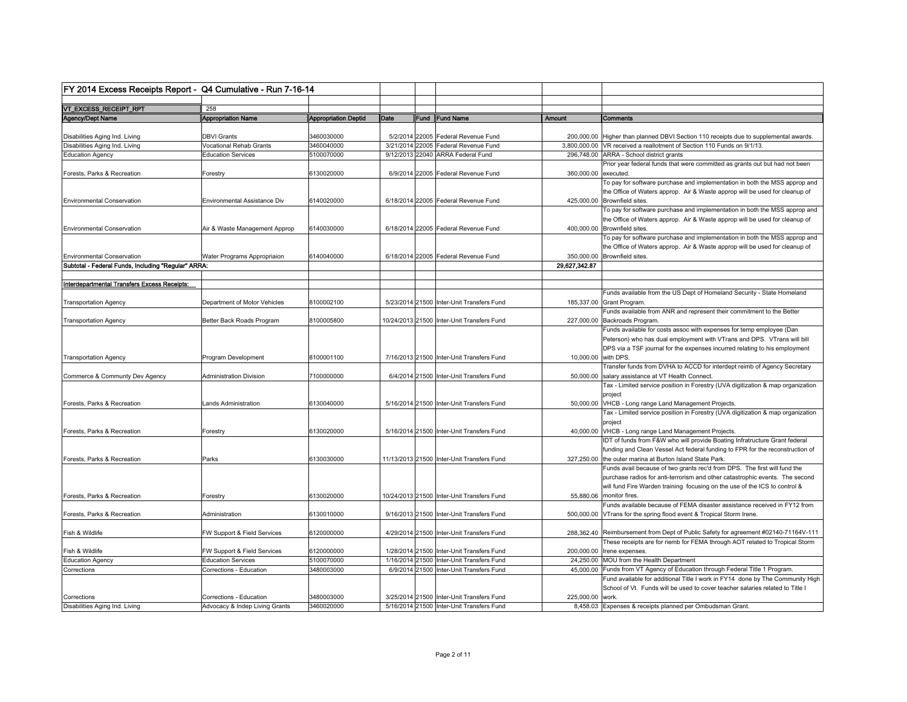| FY 2014 Excess Receipts Report - Q4 Cumulative - Run 7-16-14 |                                               |                             |      |                                                                             |                      |                                                                                                                                                           |
|--------------------------------------------------------------|-----------------------------------------------|-----------------------------|------|-----------------------------------------------------------------------------|----------------------|-----------------------------------------------------------------------------------------------------------------------------------------------------------|
|                                                              |                                               |                             |      |                                                                             |                      |                                                                                                                                                           |
| VT_EXCESS_RECEIPT_RPT                                        | 258                                           |                             |      |                                                                             |                      |                                                                                                                                                           |
| Agency/Dept Name                                             | <b>Appropriation Name</b>                     | <b>Appropriation Deptid</b> | Date | <b>Fund IFund Name</b>                                                      | Amount               | Comments                                                                                                                                                  |
|                                                              |                                               |                             |      |                                                                             |                      |                                                                                                                                                           |
| Disabilities Aging Ind. Living                               | <b>DBVI Grants</b><br>Vocational Rehab Grants | 3460030000                  |      | 5/2/2014 22005 Federal Revenue Fund<br>3/21/2014 22005 Federal Revenue Fund |                      | 200,000.00 Higher than planned DBVI Section 110 receipts due to supplemental awards                                                                       |
| Disabilities Aging Ind. Living                               |                                               | 3460040000                  |      | 9/12/2013 22040 ARRA Federal Fund                                           |                      | 3,800,000.00 VR received a reallotment of Section 110 Funds on 9/1/13.<br>296.748.00 ARRA - School district grants                                        |
| <b>Education Agency</b>                                      | <b>Education Services</b>                     | 5100070000                  |      |                                                                             |                      |                                                                                                                                                           |
|                                                              |                                               | 6130020000                  |      |                                                                             |                      | Prior year federal funds that were committed as grants out but had not been                                                                               |
| Forests, Parks & Recreation                                  | Forestry                                      |                             |      | 6/9/2014 22005 Federal Revenue Fund                                         | 360,000.00 executed. |                                                                                                                                                           |
|                                                              |                                               |                             |      |                                                                             |                      | To pay for software purchase and implementation in both the MSS approp and<br>the Office of Waters approp. Air & Waste approp will be used for cleanup of |
| <b>Environmental Conservation</b>                            | Environmental Assistance Div                  | 6140020000                  |      | 6/18/2014 22005 Federal Revenue Fund                                        |                      | 425,000.00 Brownfield sites.                                                                                                                              |
|                                                              |                                               |                             |      |                                                                             |                      | To pay for software purchase and implementation in both the MSS approp and                                                                                |
|                                                              |                                               |                             |      |                                                                             |                      |                                                                                                                                                           |
|                                                              |                                               | 6140030000                  |      | 6/18/2014 22005 Federal Revenue Fund                                        |                      | the Office of Waters approp. Air & Waste approp will be used for cleanup of<br>400,000.00 Brownfield sites.                                               |
| <b>Environmental Conservation</b>                            | Air & Waste Management Approp                 |                             |      |                                                                             |                      | To pay for software purchase and implementation in both the MSS approp and                                                                                |
|                                                              |                                               |                             |      |                                                                             |                      | the Office of Waters approp. Air & Waste approp will be used for cleanup of                                                                               |
| <b>Environmental Conservation</b>                            |                                               | 6140040000                  |      |                                                                             |                      | 350,000.00 Brownfield sites.                                                                                                                              |
|                                                              | Water Programs Appropriaion                   |                             |      | 6/18/2014 22005 Federal Revenue Fund                                        | 29,627,342.87        |                                                                                                                                                           |
| Subtotal - Federal Funds, Including "Regular" ARRA:          |                                               |                             |      |                                                                             |                      |                                                                                                                                                           |
| Interdepartmental Transfers Excess Receipts:                 |                                               |                             |      |                                                                             |                      |                                                                                                                                                           |
|                                                              |                                               |                             |      |                                                                             |                      | Funds available from the US Dept of Homeland Security - State Homeland                                                                                    |
| Transportation Agency                                        | Department of Motor Vehicles                  | 8100002100                  |      | 5/23/2014 21500 Inter-Unit Transfers Fund                                   |                      | 185,337.00 Grant Program.                                                                                                                                 |
|                                                              |                                               |                             |      |                                                                             |                      | Funds available from ANR and represent their commitment to the Better                                                                                     |
| <b>Transportation Agency</b>                                 | Better Back Roads Program                     | 8100005800                  |      | 10/24/2013 21500 Inter-Unit Transfers Fund                                  |                      | 227,000.00 Backroads Program.                                                                                                                             |
|                                                              |                                               |                             |      |                                                                             |                      | Funds available for costs assoc with expenses for temp employee (Dan                                                                                      |
|                                                              |                                               |                             |      |                                                                             |                      | Peterson) who has dual employment with VTrans and DPS. VTrans will bill                                                                                   |
|                                                              |                                               |                             |      |                                                                             |                      | DPS via a TSF journal for the expenses incurred relating to his employment                                                                                |
| <b>Transportation Agency</b>                                 | Program Development                           | 8100001100                  |      | 7/16/2013 21500 Inter-Unit Transfers Fund                                   | 10,000.00 with DPS.  |                                                                                                                                                           |
|                                                              |                                               |                             |      |                                                                             |                      | Transfer funds from DVHA to ACCD for interdept reimb of Agency Secretary                                                                                  |
| Commerce & Communty Dev Agency                               | <b>Administration Division</b>                | 7100000000                  |      | 6/4/2014 21500 Inter-Unit Transfers Fund                                    |                      | 50,000.00 salary assistance at VT Health Connect.                                                                                                         |
|                                                              |                                               |                             |      |                                                                             |                      | Tax - Limited service position in Forestry (UVA digitization & map organization                                                                           |
|                                                              |                                               |                             |      |                                                                             |                      | project                                                                                                                                                   |
| Forests, Parks & Recreation                                  | Lands Administration                          | 6130040000                  |      | 5/16/2014 21500 Inter-Unit Transfers Fund                                   |                      | 50,000.00 VHCB - Long range Land Management Projects.                                                                                                     |
|                                                              |                                               |                             |      |                                                                             |                      | Tax - Limited service position in Forestry (UVA digitization & map organization                                                                           |
|                                                              |                                               |                             |      |                                                                             |                      | project                                                                                                                                                   |
| Forests, Parks & Recreation                                  | Forestry                                      | 6130020000                  |      | 5/16/2014 21500 Inter-Unit Transfers Fund                                   |                      | 40,000.00 VHCB - Long range Land Management Projects.                                                                                                     |
|                                                              |                                               |                             |      |                                                                             |                      | IDT of funds from F&W who will provide Boating Infratructure Grant federal                                                                                |
|                                                              |                                               |                             |      |                                                                             |                      | funding and Clean Vessel Act federal funding to FPR for the reconstruction of                                                                             |
| Forests, Parks & Recreation                                  | Parks                                         | 6130030000                  |      | 11/13/2013 21500 Inter-Unit Transfers Fund                                  |                      | 327,250.00 the outer marina at Burton Island State Park.                                                                                                  |
|                                                              |                                               |                             |      |                                                                             |                      | Funds avail because of two grants rec'd from DPS. The first will fund the                                                                                 |
|                                                              |                                               |                             |      |                                                                             |                      | purchase radios for anti-terrorism and other catastrophic events. The second                                                                              |
|                                                              |                                               |                             |      |                                                                             |                      | will fund Fire Warden training focusing on the use of the ICS to control &                                                                                |
| Forests, Parks & Recreation                                  | Forestry                                      | 6130020000                  |      | 10/24/2013 21500 Inter-Unit Transfers Fund                                  |                      | 55.880.06 monitor fires.                                                                                                                                  |
|                                                              |                                               |                             |      |                                                                             |                      | Funds available because of FEMA disaster assistance received in FY12 from                                                                                 |
| Forests, Parks & Recreation                                  | Administration                                | 6130010000                  |      | 9/16/2013 21500 Inter-Unit Transfers Fund                                   |                      | 500,000.00 VTrans for the spring flood event & Tropical Storm Irene.                                                                                      |
|                                                              |                                               |                             |      |                                                                             |                      |                                                                                                                                                           |
| Fish & Wildlife                                              | FW Support & Field Services                   | 6120000000                  |      | 4/29/2014 21500 Inter-Unit Transfers Fund                                   |                      | 288,362.40 Reimbursement from Dept of Public Safety for agreement #02140-71164V-111                                                                       |
|                                                              |                                               |                             |      |                                                                             |                      | These receipts are for riemb for FEMA through AOT related to Tropical Storm                                                                               |
| Fish & Wildlife                                              | FW Support & Field Services                   | 6120000000                  |      | 1/28/2014 21500 Inter-Unit Transfers Fund                                   |                      | 200,000.00   Irene expenses.                                                                                                                              |
| <b>Education Agency</b>                                      | <b>Education Services</b>                     | 5100070000                  |      | 1/16/2014 21500 Inter-Unit Transfers Fund                                   |                      | 24,250.00 MOU from the Health Department                                                                                                                  |
| Corrections                                                  | Corrections - Education                       | 3480003000                  |      | 6/9/2014 21500 Inter-Unit Transfers Fund                                    |                      | 45,000.00 Funds from VT Agency of Education through Federal Title 1 Program.                                                                              |
|                                                              |                                               |                             |      |                                                                             |                      | Fund available for additional Title I work in FY14 done by The Community High                                                                             |
|                                                              |                                               |                             |      |                                                                             |                      | School of Vt. Funds will be used to cover teacher salaries related to Title I                                                                             |
| Corrections                                                  | Corrections - Education                       | 3480003000                  |      | 3/25/2014 21500 Inter-Unit Transfers Fund                                   | 225,000.00 work.     |                                                                                                                                                           |
| Disabilities Aging Ind. Living                               | Advocacy & Indep Living Grants                | 3460020000                  |      | 5/16/2014 21500 Inter-Unit Transfers Fund                                   |                      | 8,458.03 Expenses & receipts planned per Ombudsman Grant.                                                                                                 |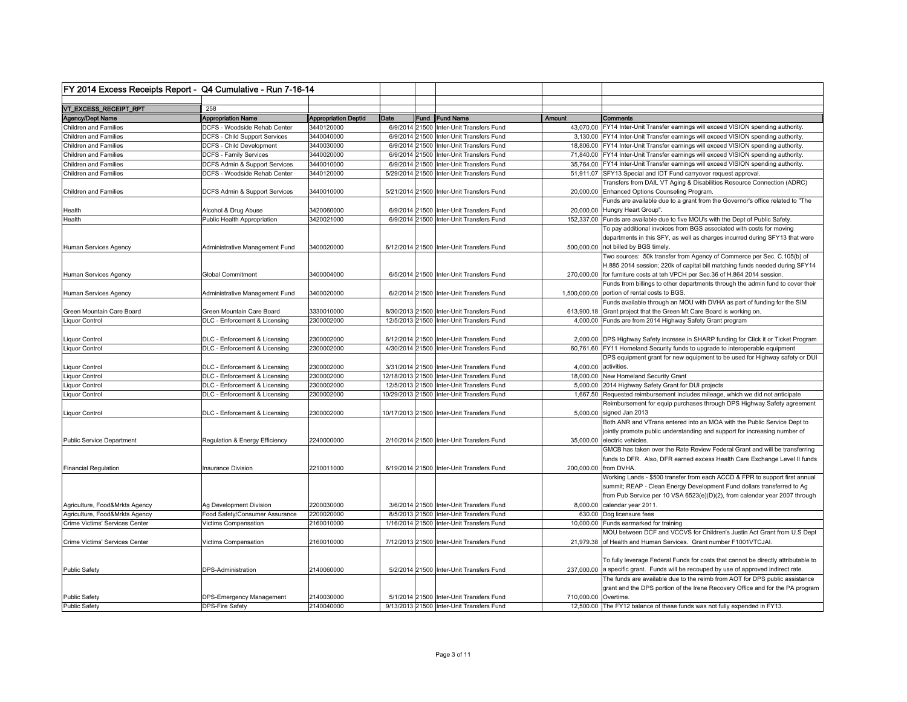|                                                | FY 2014 Excess Receipts Report - Q4 Cumulative - Run 7-16-14 |                                           |      |                                                                                      |                      |                                                                                                                                                                                             |
|------------------------------------------------|--------------------------------------------------------------|-------------------------------------------|------|--------------------------------------------------------------------------------------|----------------------|---------------------------------------------------------------------------------------------------------------------------------------------------------------------------------------------|
|                                                |                                                              |                                           |      |                                                                                      |                      |                                                                                                                                                                                             |
| VT_EXCESS_RECEIPT_RPT                          | 258                                                          |                                           |      |                                                                                      |                      |                                                                                                                                                                                             |
| Agency/Dept Name<br>Children and Families      | <b>Appropriation Name</b><br>DCFS - Woodside Rehab Center    | <b>Appropriation Deptid</b><br>3440120000 | Date | Fund IFund Name<br>6/9/2014 21500 Inter-Unit Transfers Fund                          | Amount               | Comments                                                                                                                                                                                    |
|                                                |                                                              | 3440040000                                |      |                                                                                      |                      | 43,070.00 FY14 Inter-Unit Transfer earnings will exceed VISION spending authority.                                                                                                          |
| Children and Families<br>Children and Families | DCFS - Child Support Services<br>DCFS - Child Development    | 3440030000                                |      | 6/9/2014 21500 Inter-Unit Transfers Fund<br>6/9/2014 21500 Inter-Unit Transfers Fund |                      | 3,130.00 FY14 Inter-Unit Transfer earnings will exceed VISION spending authority.<br>18,806.00 FY14 Inter-Unit Transfer earnings will exceed VISION spending authority.                     |
| Children and Families                          |                                                              | 3440020000                                |      | 6/9/2014 21500 Inter-Unit Transfers Fund                                             |                      | 71,840.00 FY14 Inter-Unit Transfer earnings will exceed VISION spending authority.                                                                                                          |
| Children and Families                          | DCFS - Family Services<br>DCFS Admin & Support Services      | 3440010000                                |      | 6/9/2014 21500 Inter-Unit Transfers Fund                                             |                      | 35,764.00 FY14 Inter-Unit Transfer earnings will exceed VISION spending authority.                                                                                                          |
| Children and Families                          | DCFS - Woodside Rehab Center                                 | 3440120000                                |      | 5/29/2014 21500 Inter-Unit Transfers Fund                                            |                      | 51,911.07 SFY13 Special and IDT Fund carryover request approval.                                                                                                                            |
|                                                |                                                              |                                           |      |                                                                                      |                      | Transfers from DAIL VT Aging & Disabilities Resource Connection (ADRC)                                                                                                                      |
| <b>Children and Families</b>                   | DCFS Admin & Support Services                                | 3440010000                                |      | 5/21/2014 21500 Inter-Unit Transfers Fund                                            |                      | 20,000.00 Enhanced Options Counseling Program.                                                                                                                                              |
| Health                                         | Alcohol & Drug Abuse                                         | 3420060000                                |      | 6/9/2014 21500 Inter-Unit Transfers Fund                                             |                      | Funds are available due to a grant from the Governor's office related to "The<br>20,000.00 Hungry Heart Group".                                                                             |
| Health                                         | Public Health Appropriation                                  | 3420021000                                |      | 6/9/2014 21500 Inter-Unit Transfers Fund                                             |                      | 152,337.00 Funds are available due to five MOU's with the Dept of Public Safety.                                                                                                            |
| <b>Human Services Agency</b>                   | Administrative Management Fund                               | 3400020000                                |      | 6/12/2014 21500 Inter-Unit Transfers Fund                                            |                      | To pay additional invoices from BGS associated with costs for moving<br>departments in this SFY, as well as charges incurred during SFY13 that were<br>500,000.00 not billed by BGS timely. |
|                                                |                                                              |                                           |      |                                                                                      |                      | Two sources: 50k transfer from Agency of Commerce per Sec. C.105(b) of                                                                                                                      |
|                                                |                                                              |                                           |      |                                                                                      |                      | H.885 2014 session; 220k of capital bill matching funds needed during SFY14                                                                                                                 |
| Human Services Agency                          | <b>Global Commitment</b>                                     | 3400004000                                |      | 6/5/2014 21500 Inter-Unit Transfers Fund                                             |                      | 270,000.00 for furniture costs at teh VPCH per Sec.36 of H.864 2014 session.                                                                                                                |
|                                                |                                                              |                                           |      |                                                                                      |                      | Funds from billings to other departments through the admin fund to cover their                                                                                                              |
| Human Services Agency                          | Administrative Management Fund                               | 3400020000                                |      | 6/2/2014 21500 Inter-Unit Transfers Fund                                             |                      | 1,500,000.00 portion of rental costs to BGS.                                                                                                                                                |
|                                                |                                                              |                                           |      |                                                                                      |                      | Funds available through an MOU with DVHA as part of funding for the SIM                                                                                                                     |
| Green Mountain Care Board                      | Green Mountain Care Board                                    | 3330010000                                |      | 8/30/2013 21500 Inter-Unit Transfers Fund                                            |                      | 613,900.18 Grant project that the Green Mt Care Board is working on.                                                                                                                        |
| iquor Control                                  | DLC - Enforcement & Licensing                                | 2300002000                                |      | 12/5/2013 21500 Inter-Unit Transfers Fund                                            |                      | 4,000.00 Funds are from 2014 Highway Safety Grant program                                                                                                                                   |
| iquor Control                                  | DLC - Enforcement & Licensing                                | 2300002000                                |      | 6/12/2014 21500 Inter-Unit Transfers Fund                                            |                      | 2,000.00 DPS Highway Safety increase in SHARP funding for Click it or Ticket Program                                                                                                        |
| Liquor Control                                 | DLC - Enforcement & Licensing                                | 2300002000                                |      | 4/30/2014 21500 Inter-Unit Transfers Fund                                            |                      | 60,761.60 FY11 Homeland Security funds to upgrade to interoperable equipment                                                                                                                |
|                                                |                                                              |                                           |      |                                                                                      |                      | DPS equipment grant for new equipment to be used for Highway safety or DUI                                                                                                                  |
| iquor Control                                  | DLC - Enforcement & Licensing                                | 2300002000                                |      | 3/31/2014 21500 Inter-Unit Transfers Fund                                            |                      | 4,000.00 activities.                                                                                                                                                                        |
| iquor Control                                  | DLC - Enforcement & Licensing                                | 2300002000                                |      | 12/18/2013 21500 Inter-Unit Transfers Fund                                           |                      | 18,000.00 New Homeland Security Grant                                                                                                                                                       |
| .iquor Control                                 | DLC - Enforcement & Licensing                                | 2300002000                                |      | 12/5/2013 21500 Inter-Unit Transfers Fund                                            |                      | 5,000.00 2014 Highway Safety Grant for DUI projects                                                                                                                                         |
| iquor Control                                  | DLC - Enforcement & Licensing                                | 2300002000                                |      | 10/29/2013 21500 Inter-Unit Transfers Fund                                           |                      | 1,667.50 Requested reimbursement includes mileage, which we did not anticipate                                                                                                              |
|                                                |                                                              | 2300002000                                |      |                                                                                      |                      | Reimbursement for equip purchases through DPS Highway Safety agreement                                                                                                                      |
| Liquor Control                                 | DLC - Enforcement & Licensing                                |                                           |      | 10/17/2013 21500 Inter-Unit Transfers Fund                                           |                      | 5,000.00 signed Jan 2013<br>Both ANR and VTrans entered into an MOA with the Public Service Dept to                                                                                         |
|                                                |                                                              |                                           |      |                                                                                      |                      |                                                                                                                                                                                             |
| <b>Public Service Department</b>               | Regulation & Energy Efficiency                               | 2240000000                                |      | 2/10/2014 21500 Inter-Unit Transfers Fund                                            |                      | jointly promote public understanding and support for increasing number of<br>35,000.00 electric vehicles.                                                                                   |
|                                                |                                                              |                                           |      |                                                                                      |                      | GMCB has taken over the Rate Review Federal Grant and will be transferring                                                                                                                  |
|                                                |                                                              |                                           |      |                                                                                      |                      | funds to DFR. Also, DFR earned excess Health Care Exchange Level II funds                                                                                                                   |
| <b>Financial Regulation</b>                    | <b>Insurance Division</b>                                    | 2210011000                                |      | 6/19/2014 21500 Inter-Unit Transfers Fund                                            |                      | 200,000.00 from DVHA.                                                                                                                                                                       |
|                                                |                                                              |                                           |      |                                                                                      |                      | Working Lands - \$500 transfer from each ACCD & FPR to support first annual                                                                                                                 |
|                                                |                                                              |                                           |      |                                                                                      |                      | summit; REAP - Clean Energy Development Fund dollars transferred to Ag                                                                                                                      |
|                                                |                                                              |                                           |      |                                                                                      |                      | from Pub Service per 10 VSA 6523(e)(D)(2), from calendar year 2007 through                                                                                                                  |
| Agriculture, Food&Mrkts Agency                 | Ag Development Division                                      | 2200030000                                |      | 3/6/2014 21500 Inter-Unit Transfers Fund                                             |                      | 8,000.00 calendar year 2011                                                                                                                                                                 |
| Agriculture, Food&Mrkts Agency                 | Food Safety/Consumer Assurance                               | 2200020000                                |      | 8/5/2013 21500 Inter-Unit Transfers Fund                                             |                      | 630.00 Dog licensure fees                                                                                                                                                                   |
| Crime Victims' Services Center                 | Victims Compensation                                         | 2160010000                                |      | 1/16/2014 21500 Inter-Unit Transfers Fund                                            |                      | 10,000.00 Funds earmarked for training                                                                                                                                                      |
| Crime Victims' Services Center                 | Victims Compensation                                         | 2160010000                                |      | 7/12/2013 21500 Inter-Unit Transfers Fund                                            |                      | MOU between DCF and VCCVS for Children's Justin Act Grant from U.S Dept<br>21,979.38 of Health and Human Services. Grant number F1001VTCJAI.                                                |
|                                                |                                                              |                                           |      |                                                                                      |                      |                                                                                                                                                                                             |
|                                                |                                                              |                                           |      |                                                                                      |                      | To fully leverage Federal Funds for costs that cannot be directly attributable to                                                                                                           |
| <b>Public Safety</b>                           | DPS-Administration                                           | 2140060000                                |      | 5/2/2014 21500 Inter-Unit Transfers Fund                                             |                      | 237,000.00 a specific grant. Funds will be recouped by use of approved indirect rate.                                                                                                       |
|                                                |                                                              |                                           |      |                                                                                      |                      | The funds are available due to the reimb from AOT for DPS public assistance                                                                                                                 |
|                                                |                                                              |                                           |      |                                                                                      |                      | grant and the DPS portion of the Irene Recovery Office and for the PA program                                                                                                               |
| <b>Public Safety</b>                           | DPS-Emergency Management                                     | 2140030000                                |      | 5/1/2014 21500 Inter-Unit Transfers Fund                                             | 710,000.00 Overtime. |                                                                                                                                                                                             |
| <b>Public Safety</b>                           | <b>DPS-Fire Safety</b>                                       | 2140040000                                |      | 9/13/2013 21500 Inter-Unit Transfers Fund                                            |                      | 12,500.00 The FY12 balance of these funds was not fully expended in FY13.                                                                                                                   |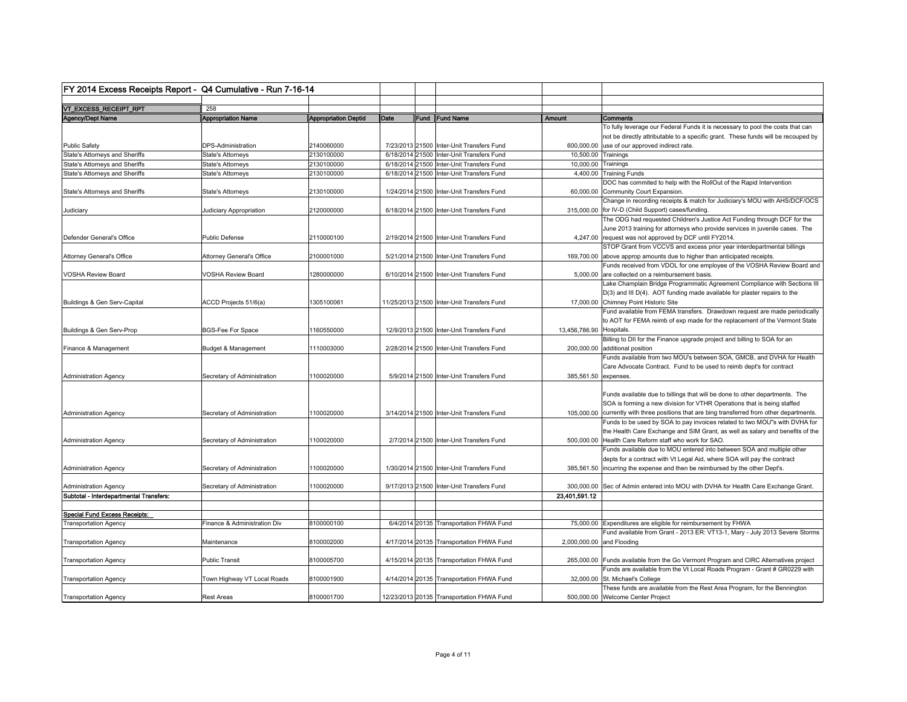| FY 2014 Excess Receipts Report - Q4 Cumulative - Run 7-16-14 |                              |                             |      |                                            |                           |                                                                                                                                                                     |
|--------------------------------------------------------------|------------------------------|-----------------------------|------|--------------------------------------------|---------------------------|---------------------------------------------------------------------------------------------------------------------------------------------------------------------|
| VT_EXCESS_RECEIPT_RPT                                        | 258                          |                             |      |                                            |                           |                                                                                                                                                                     |
| Agency/Dept Name                                             | <b>Appropriation Name</b>    | <b>Appropriation Deptid</b> | Date | Fund Fund Name                             | Amount                    | Comments                                                                                                                                                            |
|                                                              |                              |                             |      |                                            |                           | To fully leverage our Federal Funds it is necessary to pool the costs that can<br>not be directly attributable to a specific grant. These funds will be recouped by |
| <b>Public Safety</b>                                         | DPS-Administration           | 2140060000                  |      | 7/23/2013 21500 Inter-Unit Transfers Fund  |                           | 600,000.00 use of our approved indirect rate.                                                                                                                       |
| State's Attorneys and Sheriffs                               | <b>State's Attorneys</b>     | 2130100000                  |      | 6/18/2014 21500 Inter-Unit Transfers Fund  | 10,500.00 Trainings       |                                                                                                                                                                     |
| <b>State's Attorneys and Sheriffs</b>                        | State's Attorneys            | 2130100000                  |      | 6/18/2014 21500 Inter-Unit Transfers Fund  | 10,000.00 Trainings       |                                                                                                                                                                     |
| <b>State's Attorneys and Sheriffs</b>                        | <b>State's Attorneys</b>     | 2130100000                  |      | 6/18/2014 21500 Inter-Unit Transfers Fund  |                           | 4,400.00 Training Funds                                                                                                                                             |
| State's Attorneys and Sheriffs                               | <b>State's Attorneys</b>     | 2130100000                  |      | 1/24/2014 21500 Inter-Unit Transfers Fund  |                           | DOC has commited to help with the RollOut of the Rapid Intervention<br>60,000.00 Community Court Expansion.                                                         |
| Judiciary                                                    | Judiciary Appropriation      | 2120000000                  |      | 6/18/2014 21500 Inter-Unit Transfers Fund  |                           | Change in recording receipts & match for Judiciary's MOU with AHS/DCF/OCS<br>315,000.00 for IV-D (Child Support) cases/funding.                                     |
|                                                              |                              |                             |      |                                            |                           | The ODG had requested Children's Justice Act Funding through DCF for the<br>June 2013 training for attorneys who provide services in juvenile cases. The            |
| Defender General's Office                                    | <b>Public Defense</b>        | 2110000100                  |      | 2/19/2014 21500 Inter-Unit Transfers Fund  |                           | 4.247.00 request was not approved by DCF until FY2014.                                                                                                              |
|                                                              |                              |                             |      |                                            |                           | STOP Grant from VCCVS and excess prior year interdepartmental billings                                                                                              |
| Attorney General's Office                                    | Attorney General's Office    | 2100001000                  |      | 5/21/2014 21500 Inter-Unit Transfers Fund  |                           | 169,700.00 above approp amounts due to higher than anticipated receipts.                                                                                            |
| <b>VOSHA Review Board</b>                                    | VOSHA Review Board           | 1280000000                  |      | 6/10/2014 21500 Inter-Unit Transfers Fund  |                           | Funds received from VDOL for one employee of the VOSHA Review Board and<br>5,000.00 are collected on a reimbursement basis.                                         |
|                                                              |                              |                             |      |                                            |                           | Lake Champlain Bridge Programmatic Agreement Compliance with Sections III                                                                                           |
|                                                              |                              |                             |      |                                            |                           | $D(3)$ and III $D(4)$ . AOT funding made available for plaster repairs to the                                                                                       |
| Buildings & Gen Serv-Capital                                 | ACCD Projects 51/6(a)        | 1305100061                  |      | 11/25/2013 21500 Inter-Unit Transfers Fund |                           | 17,000.00 Chimney Point Historic Site                                                                                                                               |
|                                                              |                              |                             |      |                                            |                           | Fund available from FEMA transfers. Drawdown request are made periodically<br>to AOT for FEMA reimb of exp made for the replacement of the Vermont State            |
| Buildings & Gen Serv-Prop                                    | <b>BGS-Fee For Space</b>     | 1160550000                  |      | 12/9/2013 21500 Inter-Unit Transfers Fund  | 13,456,786.90 Hospitals.  |                                                                                                                                                                     |
|                                                              |                              |                             |      |                                            |                           | Billing to DII for the Finance upgrade project and billing to SOA for an                                                                                            |
| Finance & Management                                         | Budget & Management          | 1110003000                  |      | 2/28/2014 21500 Inter-Unit Transfers Fund  |                           | 200,000.00 additional position                                                                                                                                      |
|                                                              |                              |                             |      |                                            |                           | Funds available from two MOU's between SOA, GMCB, and DVHA for Health                                                                                               |
|                                                              |                              |                             |      |                                            |                           | Care Advocate Contract. Fund to be used to reimb dept's for contract                                                                                                |
| <b>Administration Agency</b>                                 | Secretary of Administration  | 1100020000                  |      | 5/9/2014 21500 Inter-Unit Transfers Fund   | 385,561.50 expenses.      |                                                                                                                                                                     |
|                                                              |                              |                             |      |                                            |                           | Funds available due to billings that will be done to other departments. The                                                                                         |
|                                                              |                              |                             |      |                                            |                           | SOA is forming a new division for VTHR Operations that is being staffed                                                                                             |
| <b>Administration Agency</b>                                 | Secretary of Administration  | 1100020000                  |      | 3/14/2014 21500 Inter-Unit Transfers Fund  |                           | 105,000.00 currently with three positions that are bing transferred from other departments.                                                                         |
|                                                              |                              |                             |      |                                            |                           | Funds to be used by SOA to pay invoices related to two MOU"s with DVHA for                                                                                          |
|                                                              | Secretary of Administration  | 1100020000                  |      | 2/7/2014 21500 Inter-Unit Transfers Fund   |                           | the Health Care Exchange and SIM Grant, as well as salary and benefits of the<br>500,000.00 Health Care Reform staff who work for SAO.                              |
| <b>Administration Agency</b>                                 |                              |                             |      |                                            |                           | Funds available due to MOU entered into between SOA and multiple other                                                                                              |
|                                                              |                              |                             |      |                                            |                           | depts for a contract with Vt Legal Aid, where SOA will pay the contract                                                                                             |
| <b>Administration Agency</b>                                 | Secretary of Administration  | 1100020000                  |      | 1/30/2014 21500 Inter-Unit Transfers Fund  |                           | 385,561.50 incurring the expense and then be reimbursed by the other Dept's.                                                                                        |
| <b>Administration Agency</b>                                 | Secretary of Administration  | 1100020000                  |      | 9/17/2013 21500 Inter-Unit Transfers Fund  |                           | 300,000.00 Sec of Admin entered into MOU with DVHA for Health Care Exchange Grant.                                                                                  |
| Subtotal - Interdepartmental Transfers:                      |                              |                             |      |                                            | 23,401,591.12             |                                                                                                                                                                     |
|                                                              |                              |                             |      |                                            |                           |                                                                                                                                                                     |
| Special Fund Excess Receipts:                                |                              |                             |      |                                            |                           |                                                                                                                                                                     |
| ransportation Agency                                         | Finance & Administration Div | 8100000100                  |      | 6/4/2014 20135 Transportation FHWA Fund    |                           | 75,000.00 Expenditures are eligible for reimbursement by FHWA                                                                                                       |
|                                                              |                              |                             |      |                                            |                           | Fund available from Grant - 2013 ER: VT13-1, Mary - July 2013 Severe Storms                                                                                         |
| ransportation Agency                                         | Maintenance                  | 8100002000                  |      | 4/17/2014 20135 Transportation FHWA Fund   | 2,000,000.00 and Flooding |                                                                                                                                                                     |
| <b>Fransportation Agency</b>                                 | <b>Public Transit</b>        | 8100005700                  |      | 4/15/2014 20135 Transportation FHWA Fund   |                           | 265,000.00 Funds available from the Go Vermont Program and CIRC Alternatives project                                                                                |
|                                                              |                              |                             |      |                                            |                           | Funds are available from the Vt Local Roads Program - Grant # GR0229 with                                                                                           |
| ransportation Agency                                         | Town Highway VT Local Roads  | 8100001900                  |      | 4/14/2014 20135 Transportation FHWA Fund   |                           | 32,000.00 St. Michael's College                                                                                                                                     |
|                                                              |                              |                             |      |                                            |                           | These funds are available from the Rest Area Program, for the Bennington                                                                                            |
| <b>Transportation Agency</b>                                 | <b>Rest Areas</b>            | 8100001700                  |      | 12/23/2013 20135 Transportation FHWA Fund  |                           | 500,000.00 Welcome Center Project                                                                                                                                   |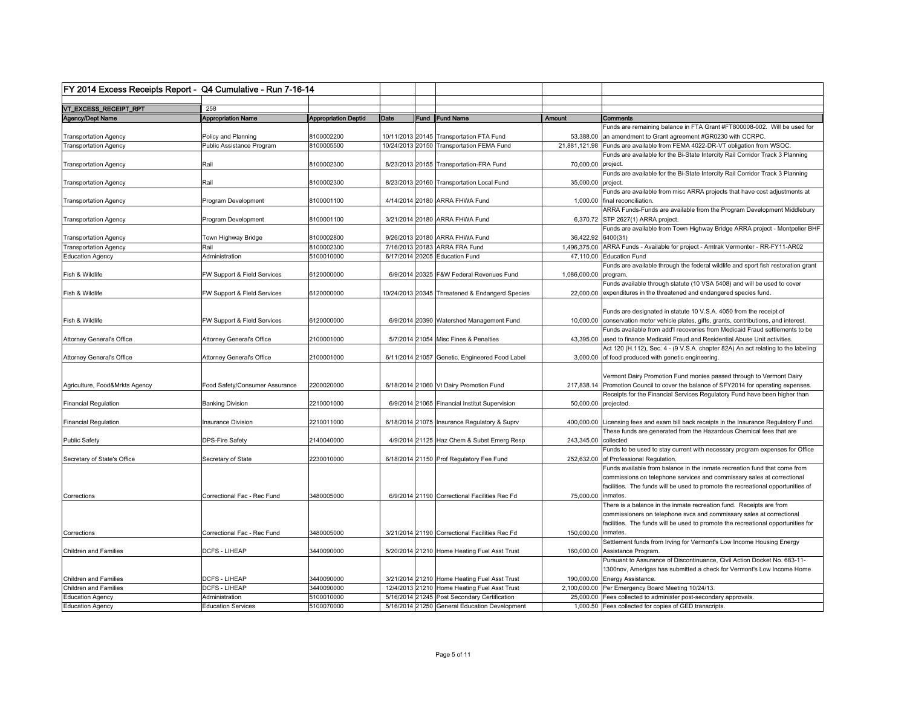| FY 2014 Excess Receipts Report - Q4 Cumulative - Run 7-16-14 |                                  |                             |      |                                                 |                       |                                                                                          |
|--------------------------------------------------------------|----------------------------------|-----------------------------|------|-------------------------------------------------|-----------------------|------------------------------------------------------------------------------------------|
|                                                              |                                  |                             |      |                                                 |                       |                                                                                          |
| VT_EXCESS_RECEIPT_RPT                                        | 258                              |                             |      |                                                 |                       |                                                                                          |
| Agency/Dept Name                                             | <b>Appropriation Name</b>        | <b>Appropriation Deptid</b> | Date | Fund IFund Name                                 | Amount                | Comments                                                                                 |
|                                                              |                                  |                             |      |                                                 |                       | Funds are remaining balance in FTA Grant #FT800008-002. Will be used for                 |
| <b>Transportation Agency</b>                                 | Policy and Planning              | 8100002200                  |      | 10/11/2013 20145 Transportation FTA Fund        |                       | 53,388.00 an amendment to Grant agreement #GR0230 with CCRPC.                            |
| <b>Transportation Agency</b>                                 | Public Assistance Program        | 8100005500                  |      | 10/24/2013 20150 Transportation FEMA Fund       |                       | 21,881,121.98 Funds are available from FEMA 4022-DR-VT obligation from WSOC.             |
|                                                              |                                  |                             |      |                                                 |                       | Funds are available for the Bi-State Intercity Rail Corridor Track 3 Planning            |
| <b>Transportation Agency</b>                                 | Rail                             | 8100002300                  |      | 8/23/2013 20155 Transportation-FRA Fund         | 70,000.00 project.    |                                                                                          |
|                                                              |                                  |                             |      |                                                 |                       | Funds are available for the Bi-State Intercity Rail Corridor Track 3 Planning            |
| <b>Transportation Agency</b>                                 | Rail                             | 8100002300                  |      | 8/23/2013 20160 Transportation Local Fund       | 35,000.00 project.    |                                                                                          |
|                                                              |                                  |                             |      |                                                 |                       | Funds are available from misc ARRA projects that have cost adjustments at                |
| <b>Transportation Agency</b>                                 | Program Development              | 8100001100                  |      | 4/14/2014 20180 ARRA FHWA Fund                  |                       | 1,000.00 final reconciliation.                                                           |
|                                                              |                                  |                             |      |                                                 |                       | ARRA Funds-Funds are available from the Program Development Middlebury                   |
| <b>Transportation Agency</b>                                 | Program Development              | 8100001100                  |      | 3/21/2014 20180 ARRA FHWA Fund                  |                       | 6,370.72 STP 2627(1) ARRA project.                                                       |
|                                                              |                                  |                             |      |                                                 |                       | Funds are available from Town Highway Bridge ARRA project - Montpelier BHF               |
| <b>Transportation Agency</b>                                 | Town Highway Bridge              | 8100002800                  |      | 9/26/2013 20180 ARRA FHWA Fund                  | 36,422.92 6400(31)    |                                                                                          |
| <b>Transportation Agency</b>                                 | Rail                             | 8100002300                  |      | 7/16/2013 20183 ARRA FRA Fund                   |                       | 1,496,375.00 ARRA Funds - Available for project - Amtrak Vermonter - RR-FY11-AR02        |
| <b>Education Agency</b>                                      | Administration                   | 5100010000                  |      | 6/17/2014 20205 Education Fund                  |                       | 47,110.00 Education Fund                                                                 |
|                                                              |                                  |                             |      |                                                 |                       | Funds are available through the federal wildlife and sport fish restoration grant        |
| Fish & Wildlife                                              | FW Support & Field Services      | 6120000000                  |      | 6/9/2014 20325 F&W Federal Revenues Fund        | 1,086,000.00 program. |                                                                                          |
|                                                              |                                  |                             |      |                                                 |                       | Funds available through statute (10 VSA 5408) and will be used to cover                  |
| Fish & Wildlife                                              | FW Support & Field Services      | 6120000000                  |      | 10/24/2013 20345 Threatened & Endangerd Species |                       | 22,000.00 expenditures in the threatened and endangered species fund.                    |
|                                                              |                                  |                             |      |                                                 |                       |                                                                                          |
|                                                              |                                  |                             |      |                                                 |                       | Funds are designated in statute 10 V.S.A. 4050 from the receipt of                       |
| Fish & Wildlife                                              | FW Support & Field Services      | 6120000000                  |      | 6/9/2014 20390 Watershed Management Fund        |                       | 10,000.00 conservation motor vehicle plates, gifts, grants, contributions, and interest. |
|                                                              |                                  |                             |      |                                                 |                       | Funds available from add'I recoveries from Medicaid Fraud settlements to be              |
| Attorney General's Office                                    | Attorney General's Office        | 2100001000                  |      | 5/7/2014 21054 Misc Fines & Penalties           |                       | 43,395.00 used to finance Medicaid Fraud and Residential Abuse Unit activities.          |
|                                                              |                                  |                             |      |                                                 |                       | Act 120 (H.112), Sec. 4 - (9 V.S.A. chapter 82A) An act relating to the labeling         |
| <b>Attorney General's Office</b>                             | <b>Attorney General's Office</b> | 2100001000                  |      | 6/11/2014 21057 Genetic. Engineered Food Label  |                       | 3,000.00 of food produced with genetic engineering.                                      |
|                                                              |                                  |                             |      |                                                 |                       |                                                                                          |
|                                                              |                                  |                             |      |                                                 |                       | Vermont Dairy Promotion Fund monies passed through to Vermont Dairy                      |
| Agriculture, Food&Mrkts Agency                               | Food Safety/Consumer Assurance   | 2200020000                  |      | 6/18/2014 21060 Vt Dairy Promotion Fund         |                       | 217,838.14 Promotion Council to cover the balance of SFY2014 for operating expenses.     |
|                                                              |                                  |                             |      |                                                 |                       | Receipts for the Financial Services Regulatory Fund have been higher than                |
| <b>Financial Regulation</b>                                  | <b>Banking Division</b>          | 2210001000                  |      | 6/9/2014 21065 Financial Institut Supervision   | 50,000.00 projected.  |                                                                                          |
|                                                              |                                  |                             |      |                                                 |                       |                                                                                          |
| <b>Financial Regulation</b>                                  | <b>Insurance Division</b>        | 2210011000                  |      | 6/18/2014 21075 Insurance Regulatory & Suprv    |                       | 400,000.00 Licensing fees and exam bill back receipts in the Insurance Regulatory Fund.  |
|                                                              |                                  |                             |      |                                                 |                       | These funds are generated from the Hazardous Chemical fees that are                      |
| Public Safety                                                | <b>DPS-Fire Safety</b>           | 2140040000                  |      | 4/9/2014 21125 Haz Chem & Subst Emerg Resp      | 243,345.00 collected  |                                                                                          |
|                                                              |                                  |                             |      |                                                 |                       | Funds to be used to stay current with necessary program expenses for Office              |
| Secretary of State's Office                                  | Secretary of State               | 2230010000                  |      | 6/18/2014 21150 Prof Regulatory Fee Fund        |                       | 252,632.00 of Professional Regulation.                                                   |
|                                                              |                                  |                             |      |                                                 |                       | Funds available from balance in the inmate recreation fund that come from                |
|                                                              |                                  |                             |      |                                                 |                       | commissions on telephone services and commissary sales at correctional                   |
|                                                              |                                  |                             |      |                                                 |                       | facilities. The funds will be used to promote the recreational opportunities of          |
| Corrections                                                  | Correctional Fac - Rec Fund      | 3480005000                  |      | 6/9/2014 21190 Correctional Facilities Rec Fd   | 75,000.00 inmates.    |                                                                                          |
|                                                              |                                  |                             |      |                                                 |                       | There is a balance in the inmate recreation fund. Receipts are from                      |
|                                                              |                                  |                             |      |                                                 |                       | commissioners on telephone svcs and commissary sales at correctional                     |
|                                                              |                                  |                             |      |                                                 |                       | facilities. The funds will be used to promote the recreational opportunities for         |
| Corrections                                                  | Correctional Fac - Rec Fund      | 3480005000                  |      | 3/21/2014 21190 Correctional Facilities Rec Fd  | 150,000.00  inmates.  |                                                                                          |
|                                                              |                                  |                             |      |                                                 |                       | Settlement funds from Irving for Vermont's Low Income Housing Energy                     |
| <b>Children and Families</b>                                 | <b>DCFS - LIHEAP</b>             | 3440090000                  |      | 5/20/2014 21210 Home Heating Fuel Asst Trust    | 160,000.00            | Assistance Program                                                                       |
|                                                              |                                  |                             |      |                                                 |                       | Pursuant to Assurance of Discontinuance, Civil Action Docket No. 683-11-                 |
|                                                              |                                  |                             |      |                                                 |                       | 1300nov, Amerigas has submitted a check for Vermont's Low Income Home                    |
| <b>Children and Families</b>                                 | <b>DCFS - LIHEAP</b>             | 3440090000                  |      | 3/21/2014 21210 Home Heating Fuel Asst Trust    |                       | 190,000.00 Energy Assistance.                                                            |
| <b>Children and Families</b>                                 | <b>DCFS - LIHEAP</b>             | 3440090000                  |      | 12/4/2013 21210 Home Heating Fuel Asst Trust    |                       | 2,100,000.00 Per Emergency Board Meeting 10/24/13.                                       |
| <b>Education Agency</b>                                      | Administration                   | 5100010000                  |      | 5/16/2014 21245 Post Secondary Certification    |                       | 25,000.00 Fees collected to administer post-secondary approvals.                         |
| <b>Education Agency</b>                                      | <b>Education Services</b>        | 5100070000                  |      | 5/16/2014 21250 General Education Development   |                       | 1,000.50 Fees collected for copies of GED transcripts.                                   |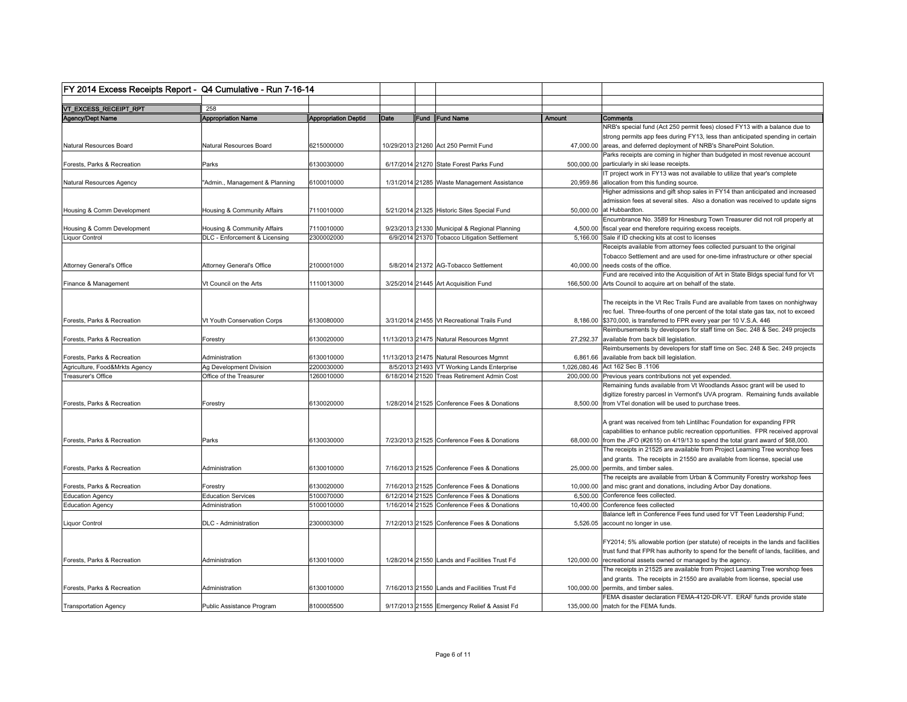| FY 2014 Excess Receipts Report - Q4 Cumulative - Run 7-16-14 |                                |                             |      |                                               |        |                                                                                       |
|--------------------------------------------------------------|--------------------------------|-----------------------------|------|-----------------------------------------------|--------|---------------------------------------------------------------------------------------|
|                                                              |                                |                             |      |                                               |        |                                                                                       |
| VT_EXCESS_RECEIPT_RPT                                        | 258                            |                             |      |                                               |        |                                                                                       |
| Agency/Dept Name                                             | <b>Appropriation Name</b>      | <b>Appropriation Deptid</b> | Date | Fund Fund Name                                | Amount | Comments                                                                              |
|                                                              |                                |                             |      |                                               |        | NRB's special fund (Act 250 permit fees) closed FY13 with a balance due to            |
|                                                              |                                |                             |      |                                               |        | strong permits app fees during FY13, less than anticipated spending in certain        |
| Natural Resources Board                                      | Natural Resources Board        | 6215000000                  |      | 10/29/2013 21260 Act 250 Permit Fund          |        | 47,000.00 areas, and deferred deployment of NRB's SharePoint Solution.                |
|                                                              |                                |                             |      |                                               |        | Parks receipts are coming in higher than budgeted in most revenue account             |
| Forests, Parks & Recreation                                  | Parks                          | 6130030000                  |      | 6/17/2014 21270 State Forest Parks Fund       |        | 500,000.00 particularly in ski lease receipts.                                        |
|                                                              |                                |                             |      |                                               |        | IT project work in FY13 was not available to utilize that year's complete             |
| Natural Resources Agency                                     | "Admin., Management & Planning | 6100010000                  |      | 1/31/2014 21285 Waste Management Assistance   |        | 20,959.86 allocation from this funding source.                                        |
|                                                              |                                |                             |      |                                               |        | Higher admissions and gift shop sales in FY14 than anticipated and increased          |
|                                                              |                                |                             |      |                                               |        | admission fees at several sites. Also a donation was received to update signs         |
| Housing & Comm Development                                   | Housing & Community Affairs    | 7110010000                  |      | 5/21/2014 21325 Historic Sites Special Fund   |        | 50.000.00 at Hubbardton.                                                              |
|                                                              |                                |                             |      |                                               |        | Encumbrance No. 3589 for Hinesburg Town Treasurer did not roll properly at            |
| Housing & Comm Development                                   | Housing & Community Affairs    | 7110010000                  |      | 9/23/2013 21330 Municipal & Regional Planning |        | 4,500.00 fiscal year end therefore requiring excess receipts.                         |
| <b>Liquor Control</b>                                        | DLC - Enforcement & Licensing  | 2300002000                  |      | 6/9/2014 21370 Tobacco Litigation Settlement  |        | 5,166.00 Sale if ID checking kits at cost to licenses                                 |
|                                                              |                                |                             |      |                                               |        | Receipts available from attorney fees collected pursuant to the original              |
|                                                              |                                |                             |      |                                               |        | Tobacco Settlement and are used for one-time infrastructure or other special          |
| <b>Attorney General's Office</b>                             | Attorney General's Office      | 2100001000                  |      | 5/8/2014 21372 AG-Tobacco Settlement          |        | 40,000.00 needs costs of the office.                                                  |
|                                                              |                                |                             |      |                                               |        | Fund are received into the Acquisition of Art in State Bldgs special fund for Vt      |
|                                                              |                                |                             |      |                                               |        |                                                                                       |
| Finance & Management                                         | Vt Council on the Arts         | 1110013000                  |      | 3/25/2014 21445 Art Acquisition Fund          |        | 166,500.00 Arts Council to acquire art on behalf of the state.                        |
|                                                              |                                |                             |      |                                               |        |                                                                                       |
|                                                              |                                |                             |      |                                               |        | The receipts in the Vt Rec Trails Fund are available from taxes on nonhighway         |
|                                                              |                                |                             |      |                                               |        | rec fuel. Three-fourths of one percent of the total state gas tax, not to exceed      |
| Forests, Parks & Recreation                                  | Vt Youth Conservation Corps    | 6130080000                  |      | 3/31/2014 21455 Vt Recreational Trails Fund   |        | 8,186.00 \$370,000, is transferred to FPR every year per 10 V.S.A. 446                |
|                                                              |                                |                             |      |                                               |        | Reimbursements by developers for staff time on Sec. 248 & Sec. 249 projects           |
| Forests, Parks & Recreation                                  | Forestry                       | 6130020000                  |      | 11/13/2013 21475 Natural Resources Mgmnt      |        | 27,292.37 available from back bill legislation.                                       |
|                                                              |                                |                             |      |                                               |        | Reimbursements by developers for staff time on Sec. 248 & Sec. 249 projects           |
| Forests, Parks & Recreation                                  | Administration                 | 6130010000                  |      | 11/13/2013 21475 Natural Resources Mgmnt      |        | 6,861.66 available from back bill legislation.                                        |
| Agriculture, Food&Mrkts Agency                               | Ag Development Division        | 2200030000                  |      | 8/5/2013 21493 VT Working Lands Enterprise    |        | 1,026,080.46 Act 162 Sec B .1106                                                      |
| Treasurer's Office                                           | Office of the Treasurer        | 1260010000                  |      | 6/18/2014 21520 Treas Retirement Admin Cost   |        | 200,000.00 Previous years contributions not yet expended.                             |
|                                                              |                                |                             |      |                                               |        | Remaining funds available from Vt Woodlands Assoc grant will be used to               |
|                                                              |                                |                             |      |                                               |        | digitize forestry parcesl in Vermont's UVA program. Remaining funds available         |
| Forests, Parks & Recreation                                  | Forestry                       | 6130020000                  |      | 1/28/2014 21525 Conference Fees & Donations   |        | 8,500.00 from VTel donation will be used to purchase trees.                           |
|                                                              |                                |                             |      |                                               |        |                                                                                       |
|                                                              |                                |                             |      |                                               |        | A grant was received from teh Lintilhac Foundation for expanding FPR                  |
|                                                              |                                |                             |      |                                               |        | capabilities to enhance public recreation opportunities. FPR received approval        |
| Forests, Parks & Recreation                                  | Parks                          | 6130030000                  |      | 7/23/2013 21525 Conference Fees & Donations   |        | 68,000.00 from the JFO (#2615) on 4/19/13 to spend the total grant award of \$68,000. |
|                                                              |                                |                             |      |                                               |        | The receipts in 21525 are available from Project Learning Tree worshop fees           |
|                                                              |                                |                             |      |                                               |        | and grants. The receipts in 21550 are available from license, special use             |
| Forests, Parks & Recreation                                  | Administration                 | 6130010000                  |      | 7/16/2013 21525 Conference Fees & Donations   |        | 25,000.00 permits, and timber sales.                                                  |
|                                                              |                                |                             |      |                                               |        | The receipts are available from Urban & Community Forestry workshop fees              |
|                                                              |                                |                             |      |                                               |        |                                                                                       |
| Forests, Parks & Recreation                                  | Forestry                       | 6130020000                  |      | 7/16/2013 21525 Conference Fees & Donations   |        | 10,000.00 and misc grant and donations, including Arbor Day donations.                |
| <b>Education Agency</b>                                      | <b>Education Services</b>      | 5100070000                  |      | 6/12/2014 21525 Conference Fees & Donations   |        | 6,500.00 Conference fees collected.                                                   |
| <b>Education Agency</b>                                      | Administration                 | 5100010000                  |      | 1/16/2014 21525 Conference Fees & Donations   |        | 10,400.00 Conference fees collected                                                   |
|                                                              |                                |                             |      |                                               |        | Balance left in Conference Fees fund used for VT Teen Leadership Fund;                |
| Liquor Control                                               | <b>DLC</b> - Administration    | 2300003000                  |      | 7/12/2013 21525 Conference Fees & Donations   |        | 5,526.05 account no longer in use.                                                    |
|                                                              |                                |                             |      |                                               |        |                                                                                       |
|                                                              |                                |                             |      |                                               |        | FY2014; 5% allowable portion (per statute) of receipts in the lands and facilities    |
|                                                              |                                |                             |      |                                               |        | trust fund that FPR has authority to spend for the benefit of lands, facilities, and  |
| Forests. Parks & Recreation                                  | Administration                 | 6130010000                  |      | 1/28/2014 21550 Lands and Facilities Trust Fd |        | 120,000.00 recreational assets owned or managed by the agency.                        |
|                                                              |                                |                             |      |                                               |        | The receipts in 21525 are available from Project Learning Tree worshop fees           |
|                                                              |                                |                             |      |                                               |        | and grants. The receipts in 21550 are available from license, special use             |
| Forests, Parks & Recreation                                  | Administration                 | 6130010000                  |      | 7/16/2013 21550 Lands and Facilities Trust Fd |        | 100,000.00 permits, and timber sales.                                                 |
|                                                              |                                |                             |      |                                               |        | FEMA disaster declaration FEMA-4120-DR-VT. ERAF funds provide state                   |
| <b>Transportation Agency</b>                                 | Public Assistance Program      | 8100005500                  |      | 9/17/2013 21555 Emergency Relief & Assist Fd  |        | 135,000,00 match for the FEMA funds.                                                  |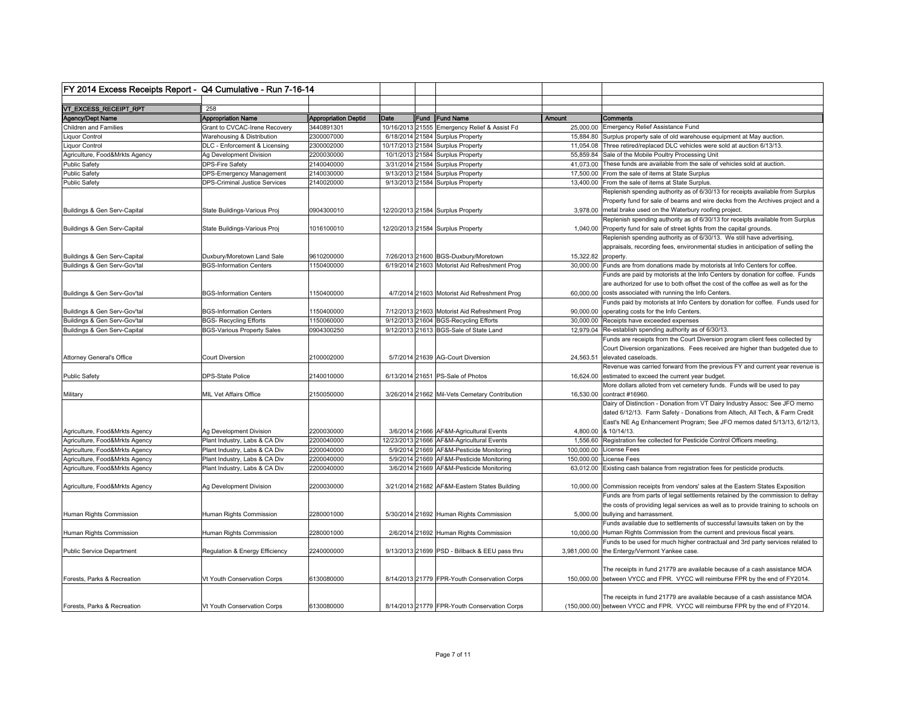| FY 2014 Excess Receipts Report - Q4 Cumulative - Run 7-16-14 |                                                   |                             |      |                                                                       |                     |                                                                                                                                     |
|--------------------------------------------------------------|---------------------------------------------------|-----------------------------|------|-----------------------------------------------------------------------|---------------------|-------------------------------------------------------------------------------------------------------------------------------------|
|                                                              |                                                   |                             |      |                                                                       |                     |                                                                                                                                     |
| VT_EXCESS_RECEIPT_RPT                                        | 258                                               |                             |      |                                                                       |                     |                                                                                                                                     |
| Agency/Dept Name                                             | <b>Appropriation Name</b>                         | <b>Appropriation Deptid</b> | Date | Fund Fund Name                                                        | <b>Amount</b>       | Comments                                                                                                                            |
| Children and Families                                        | Grant to CVCAC-Irene Recovery                     | 3440891301                  |      | 10/16/2013 21555 Emergency Relief & Assist Fd                         |                     | 25,000.00 Emergency Relief Assistance Fund                                                                                          |
| <b>Liquor Control</b>                                        | Warehousing & Distribution                        | 2300007000                  |      | 6/18/2014 21584 Surplus Property                                      |                     | 15,884.80 Surplus property sale of old warehouse equipment at May auction.                                                          |
| Liquor Control                                               | DLC - Enforcement & Licensing                     | 2300002000                  |      | 10/17/2013 21584 Surplus Property<br>10/1/2013 21584 Surplus Property |                     | 11,054.08 Three retired/replaced DLC vehicles were sold at auction 6/13/13.<br>55,859.84 Sale of the Mobile Poultry Processing Unit |
| Agriculture, Food&Mrkts Agency<br><b>Public Safety</b>       | Ag Development Division<br><b>DPS-Fire Safety</b> | 2200030000<br>2140040000    |      | 3/31/2014 21584 Surplus Property                                      |                     | 41,073.00 These funds are available from the sale of vehicles sold at auction.                                                      |
| <b>Public Safety</b>                                         | <b>DPS-Emergency Management</b>                   | 2140030000                  |      | 9/13/2013 21584 Surplus Property                                      |                     | 17,500.00 From the sale of items at State Surplus                                                                                   |
| <b>Public Safety</b>                                         | <b>DPS-Criminal Justice Services</b>              | 2140020000                  |      | 9/13/2013 21584 Surplus Property                                      |                     | 13,400.00 From the sale of items at State Surplus.                                                                                  |
|                                                              |                                                   |                             |      |                                                                       |                     | Replenish spending authority as of 6/30/13 for receipts available from Surplus                                                      |
|                                                              |                                                   |                             |      |                                                                       |                     | Property fund for sale of beams and wire decks from the Archives project and a                                                      |
| Buildings & Gen Serv-Capital                                 | State Buildings-Various Proj                      | 0904300010                  |      | 12/20/2013 21584 Surplus Property                                     |                     | 3,978.00 metal brake used on the Waterbury roofing project.                                                                         |
|                                                              |                                                   |                             |      |                                                                       |                     | Replenish spending authority as of 6/30/13 for receipts available from Surplus                                                      |
| Buildings & Gen Serv-Capital                                 | State Buildings-Various Proj                      | 1016100010                  |      | 12/20/2013 21584 Surplus Property                                     |                     | 1,040.00 Property fund for sale of street lights from the capital grounds.                                                          |
|                                                              |                                                   |                             |      |                                                                       |                     | Replenish spending authority as of 6/30/13. We still have advertising,                                                              |
|                                                              |                                                   |                             |      |                                                                       |                     | appraisals, recording fees, environmental studies in anticipation of selling the                                                    |
| Buildings & Gen Serv-Capital                                 | Duxbury/Moretown Land Sale                        | 9610200000                  |      | 7/26/2013 21600 BGS-Duxbury/Moretown                                  | 15,322.82 property. |                                                                                                                                     |
| Buildings & Gen Serv-Gov'tal                                 | <b>BGS-Information Centers</b>                    | 1150400000                  |      | 6/19/2014 21603 Motorist Aid Refreshment Prog                         |                     | 30,000.00 Funds are from donations made by motorists at Info Centers for coffee.                                                    |
|                                                              |                                                   |                             |      |                                                                       |                     | Funds are paid by motorists at the Info Centers by donation for coffee. Funds                                                       |
|                                                              |                                                   |                             |      |                                                                       |                     | are authorized for use to both offset the cost of the coffee as well as for the                                                     |
| Buildings & Gen Serv-Gov'tal                                 | <b>BGS-Information Centers</b>                    | 1150400000                  |      | 4/7/2014 21603 Motorist Aid Refreshment Prog                          |                     | 60,000.00 costs associated with running the Info Centers.                                                                           |
|                                                              |                                                   |                             |      |                                                                       |                     | Funds paid by motorists at Info Centers by donation for coffee. Funds used for                                                      |
| Buildings & Gen Serv-Gov'tal                                 | <b>BGS-Information Centers</b>                    | 1150400000                  |      | 7/12/2013 21603 Motorist Aid Refreshment Prog                         |                     | 90,000.00 operating costs for the Info Centers.                                                                                     |
| Buildings & Gen Serv-Gov'tal                                 | <b>BGS- Recycling Efforts</b>                     | 1150060000                  |      | 9/12/2013 21604 BGS-Recycling Efforts                                 |                     | 30,000.00 Receipts have exceeded expenses                                                                                           |
| Buildings & Gen Serv-Capital                                 | <b>BGS-Various Property Sales</b>                 | 0904300250                  |      | 9/12/2013 21613 BGS-Sale of State Land                                |                     | 12,979.04 Re-establish spending authority as of 6/30/13.                                                                            |
|                                                              |                                                   |                             |      |                                                                       |                     | Funds are receipts from the Court Diversion program client fees collected by                                                        |
|                                                              |                                                   |                             |      |                                                                       |                     | Court Diversion organizations. Fees received are higher than budgeted due to                                                        |
| <b>Attorney General's Office</b>                             | <b>Court Diversion</b>                            | 2100002000                  |      | 5/7/2014 21639 AG-Court Diversion                                     |                     | 24,563.51 elevated caseloads.                                                                                                       |
|                                                              |                                                   |                             |      |                                                                       |                     | Revenue was carried forward from the previous FY and current year revenue is                                                        |
| <b>Public Safety</b>                                         | <b>DPS-State Police</b>                           | 2140010000                  |      | 6/13/2014 21651 PS-Sale of Photos                                     |                     | 16,624.00 estimated to exceed the current year budget.                                                                              |
|                                                              |                                                   |                             |      |                                                                       |                     | More dollars alloted from vet cemetery funds. Funds will be used to pay                                                             |
| Military                                                     | MIL Vet Affairs Office                            | 2150050000                  |      | 3/26/2014 21662 Mil-Vets Cemetary Contribution                        |                     | 16,530.00 contract #16960.                                                                                                          |
|                                                              |                                                   |                             |      |                                                                       |                     | Dairy of Distinction - Donation from VT Dairy Industry Assoc: See JFO memo                                                          |
|                                                              |                                                   |                             |      |                                                                       |                     | dated 6/12/13. Farm Safety - Donations from Altech, All Tech, & Farm Credit                                                         |
|                                                              |                                                   |                             |      |                                                                       |                     | East's NE Ag Enhancement Program; See JFO memos dated 5/13/13, 6/12/13,                                                             |
| Agriculture, Food&Mrkts Agency                               | Ag Development Division                           | 2200030000                  |      | 3/6/2014 21666 AF&M-Agricultural Events                               |                     | 4,800.00 & 10/14/13.                                                                                                                |
| Agriculture, Food&Mrkts Agency                               | Plant Industry, Labs & CA Div                     | 2200040000                  |      | 12/23/2013 21666 AF&M-Agricultural Events                             |                     | 1,556.60 Registration fee collected for Pesticide Control Officers meeting.                                                         |
| Agriculture, Food&Mrkts Agency                               | Plant Industry, Labs & CA Div                     | 2200040000                  |      | 5/9/2014 21669 AF&M-Pesticide Monitoring                              |                     | 100,000.00 License Fees                                                                                                             |
| Agriculture, Food&Mrkts Agency                               | Plant Industry, Labs & CA Div                     | 2200040000                  |      | 5/9/2014 21669 AF&M-Pesticide Monitoring                              |                     | 150,000.00 License Fees                                                                                                             |
| Agriculture, Food&Mrkts Agency                               | Plant Industry, Labs & CA Div                     | 2200040000                  |      | 3/6/2014 21669 AF&M-Pesticide Monitoring                              |                     | 63,012.00 Existing cash balance from registration fees for pesticide products.                                                      |
|                                                              |                                                   |                             |      |                                                                       |                     |                                                                                                                                     |
| Agriculture, Food&Mrkts Agency                               | Ag Development Division                           | 2200030000                  |      | 3/21/2014 21682 AF&M-Eastern States Building                          |                     | 10,000.00 Commission receipts from vendors' sales at the Eastern States Exposition                                                  |
|                                                              |                                                   |                             |      |                                                                       |                     | Funds are from parts of legal settlements retained by the commission to defray                                                      |
|                                                              |                                                   |                             |      |                                                                       |                     | the costs of providing legal services as well as to provide training to schools on                                                  |
| Human Rights Commission                                      | Human Rights Commission                           | 2280001000                  |      | 5/30/2014 21692 Human Rights Commission                               |                     | 5,000.00 bullying and harrassment.                                                                                                  |
|                                                              |                                                   |                             |      |                                                                       |                     | Funds available due to settlements of successful lawsuits taken on by the                                                           |
| Human Rights Commission                                      | Human Rights Commission                           | 2280001000                  |      | 2/6/2014 21692 Human Rights Commission                                |                     | 10,000.00 Human Rights Commission from the current and previous fiscal years.                                                       |
|                                                              |                                                   |                             |      |                                                                       |                     | Funds to be used for much higher contractual and 3rd party services related to                                                      |
| Public Service Department                                    | Regulation & Energy Efficiency                    | 2240000000                  |      | 9/13/2013 21699 PSD - Billback & EEU pass thru                        |                     | 3,981,000.00 the Entergy/Vermont Yankee case.                                                                                       |
|                                                              |                                                   |                             |      |                                                                       |                     |                                                                                                                                     |
|                                                              |                                                   |                             |      |                                                                       |                     | The receipts in fund 21779 are available because of a cash assistance MOA                                                           |
| Forests, Parks & Recreation                                  | Vt Youth Conservation Corps                       | 6130080000                  |      | 8/14/2013 21779 FPR-Youth Conservation Corps                          |                     | 150,000.00 between VYCC and FPR. VYCC will reimburse FPR by the end of FY2014.                                                      |
|                                                              |                                                   |                             |      |                                                                       |                     | The receipts in fund 21779 are available because of a cash assistance MOA                                                           |
| Forests, Parks & Recreation                                  | Vt Youth Conservation Corps                       | 6130080000                  |      | 8/14/2013 21779 FPR-Youth Conservation Corps                          |                     | (150,000.00) between VYCC and FPR. VYCC will reimburse FPR by the end of FY2014.                                                    |
|                                                              |                                                   |                             |      |                                                                       |                     |                                                                                                                                     |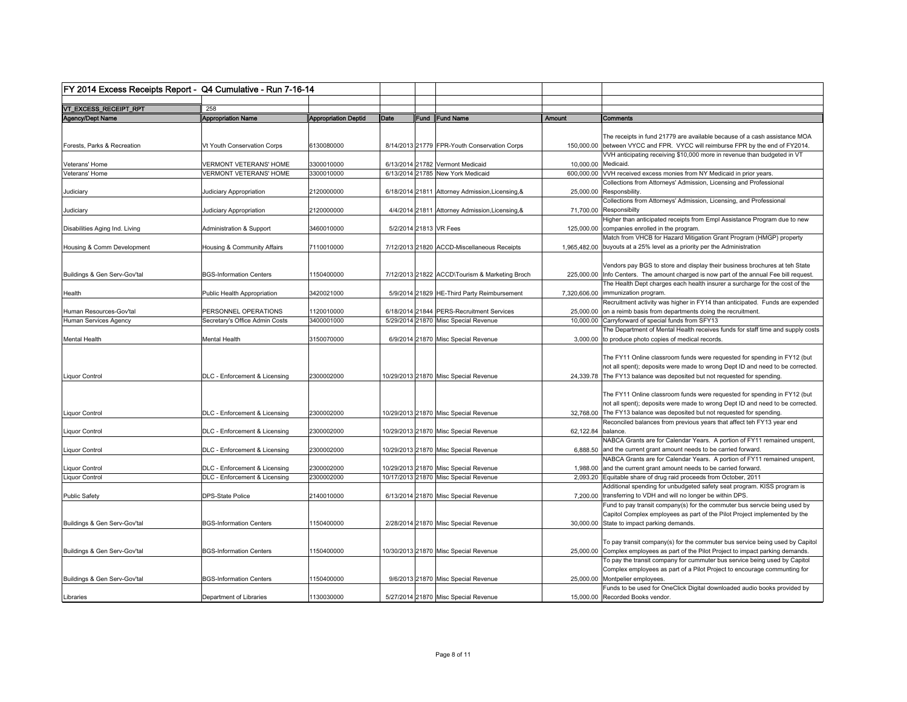| FY 2014 Excess Receipts Report - Q4 Cumulative - Run 7-16-14 |                                |                             |                        |                                                  |              |                                                                                                                                                                                                                                                                                                                |
|--------------------------------------------------------------|--------------------------------|-----------------------------|------------------------|--------------------------------------------------|--------------|----------------------------------------------------------------------------------------------------------------------------------------------------------------------------------------------------------------------------------------------------------------------------------------------------------------|
| VT_EXCESS_RECEIPT_RPT                                        | 258                            |                             |                        |                                                  |              |                                                                                                                                                                                                                                                                                                                |
|                                                              |                                |                             |                        |                                                  |              |                                                                                                                                                                                                                                                                                                                |
| Agency/Dept Name                                             | <b>Appropriation Name</b>      | <b>Appropriation Deptid</b> | Date                   | Fund Fund Name                                   | Amount       | <b>Comments</b>                                                                                                                                                                                                                                                                                                |
| Forests, Parks & Recreation                                  | Vt Youth Conservation Corps    | 6130080000                  |                        | 8/14/2013 21779 FPR-Youth Conservation Corps     |              | The receipts in fund 21779 are available because of a cash assistance MOA<br>150,000.00 between VYCC and FPR. VYCC will reimburse FPR by the end of FY2014.                                                                                                                                                    |
| Veterans' Home                                               | VERMONT VETERANS' HOME         | 3300010000                  |                        | 6/13/2014 21782 Vermont Medicaid                 | 10,000.00    | VVH anticipating receiving \$10,000 more in revenue than budgeted in VT<br>Medicaid.                                                                                                                                                                                                                           |
| Veterans' Home                                               | <b>VERMONT VETERANS' HOME</b>  | 3300010000                  |                        | 6/13/2014 21785 New York Medicaid                | 600,000.00   | VVH received excess monies from NY Medicaid in prior years.                                                                                                                                                                                                                                                    |
| Judiciary                                                    | Judiciary Appropriation        | 2120000000                  |                        | 6/18/2014 21811 Attorney Admission, Licensing, & |              | Collections from Attorneys' Admission, Licensing and Professional<br>25,000.00 Responsbility.                                                                                                                                                                                                                  |
| Judiciary                                                    | Judiciary Appropriation        | 2120000000                  |                        | 4/4/2014 21811 Attorney Admission, Licensing, &  |              | Collections from Attorneys' Admission, Licensing, and Professional<br>71,700.00 Responsibilty                                                                                                                                                                                                                  |
| Disabilities Aging Ind. Living                               | Administration & Support       | 3460010000                  | 5/2/2014 21813 VR Fees |                                                  | 125,000.00   | Higher than anticipated receipts from Empl Assistance Program due to new<br>companies enrolled in the program.                                                                                                                                                                                                 |
| Housing & Comm Development                                   | Housing & Community Affairs    | 7110010000                  |                        | 7/12/2013 21820 ACCD-Miscellaneous Receipts      |              | Match from VHCB for Hazard Mitigation Grant Program (HMGP) property<br>1,965,482.00 buyouts at a 25% level as a priority per the Administration                                                                                                                                                                |
| Buildings & Gen Serv-Gov'tal                                 | <b>BGS-Information Centers</b> | 1150400000                  |                        | 7/12/2013 21822 ACCD\Tourism & Marketing Broch   |              | Vendors pay BGS to store and display their business brochures at teh State<br>225,000.00  Info Centers. The amount charged is now part of the annual Fee bill request.                                                                                                                                         |
|                                                              |                                |                             |                        |                                                  |              | The Health Dept charges each health insurer a surcharge for the cost of the                                                                                                                                                                                                                                    |
| Health                                                       | Public Health Appropriation    | 3420021000                  |                        | 5/9/2014 21829 HE-Third Party Reimbursement      | 7,320,606.00 | immunization program.                                                                                                                                                                                                                                                                                          |
|                                                              |                                |                             |                        |                                                  |              | Recruitment activity was higher in FY14 than anticipated. Funds are expended                                                                                                                                                                                                                                   |
| Human Resources-Gov'tal                                      | PERSONNEL OPERATIONS           | 1120010000                  |                        | 6/18/2014 21844 PERS-Recruitment Services        |              | 25,000.00 on a reimb basis from departments doing the recruitment.<br>10,000,00 Carryforward of special funds from SFY13                                                                                                                                                                                       |
| Human Services Agency                                        | Secretary's Office Admin Costs | 3400001000                  |                        | 5/29/2014 21870 Misc Special Revenue             |              | The Department of Mental Health receives funds for staff time and supply costs                                                                                                                                                                                                                                 |
| <b>Mental Health</b>                                         | Mental Health                  | 3150070000                  |                        | 6/9/2014 21870 Misc Special Revenue              |              | 3,000.00 to produce photo copies of medical records.                                                                                                                                                                                                                                                           |
| Liquor Control                                               | DLC - Enforcement & Licensing  | 2300002000                  |                        | 10/29/2013 21870 Misc Special Revenue            |              | The FY11 Online classroom funds were requested for spending in FY12 (but<br>not all spent); deposits were made to wrong Dept ID and need to be corrected.<br>24,339.78 The FY13 balance was deposited but not requested for spending.                                                                          |
| <b>Liquor Control</b>                                        | DLC - Enforcement & Licensing  | 2300002000                  |                        | 10/29/2013 21870 Misc Special Revenue            |              | The FY11 Online classroom funds were requested for spending in FY12 (but<br>not all spent); deposits were made to wrong Dept ID and need to be corrected.<br>32,768.00 The FY13 balance was deposited but not requested for spending.<br>Reconciled balances from previous years that affect teh FY13 year end |
| Liquor Control                                               | DLC - Enforcement & Licensing  | 2300002000                  |                        | 10/29/2013 21870 Misc Special Revenue            | 62,122.84    | balance.                                                                                                                                                                                                                                                                                                       |
| Liquor Control                                               | DLC - Enforcement & Licensing  | 2300002000                  |                        | 10/29/2013 21870 Misc Special Revenue            |              | NABCA Grants are for Calendar Years. A portion of FY11 remained unspent,<br>6,888.50 and the current grant amount needs to be carried forward.                                                                                                                                                                 |
|                                                              |                                |                             |                        |                                                  |              | NABCA Grants are for Calendar Years. A portion of FY11 remained unspent,                                                                                                                                                                                                                                       |
| Liquor Control                                               | DLC - Enforcement & Licensing  | 2300002000<br>2300002000    |                        | 10/29/2013 21870 Misc Special Revenue            |              | 1,988.00 and the current grant amount needs to be carried forward.                                                                                                                                                                                                                                             |
| Liquor Control                                               | DLC - Enforcement & Licensing  |                             |                        | 10/17/2013 21870 Misc Special Revenue            |              | 2,093.20 Equitable share of drug raid proceeds from October, 2011                                                                                                                                                                                                                                              |
| <b>Public Safety</b>                                         | <b>DPS-State Police</b>        | 2140010000                  |                        | 6/13/2014 21870 Misc Special Revenue             |              | Additional spending for unbudgeted safety seat program. KISS program is<br>7,200.00 transferring to VDH and will no longer be within DPS.                                                                                                                                                                      |
|                                                              |                                |                             |                        |                                                  |              | Fund to pay transit company(s) for the commuter bus servcie being used by                                                                                                                                                                                                                                      |
| Buildings & Gen Serv-Gov'tal                                 | <b>BGS-Information Centers</b> | 1150400000                  |                        | 2/28/2014 21870 Misc Special Revenue             |              | Capitol Complex employees as part of the Pilot Project implemented by the<br>30,000.00 State to impact parking demands.                                                                                                                                                                                        |
|                                                              |                                |                             |                        |                                                  |              |                                                                                                                                                                                                                                                                                                                |
| Buildings & Gen Serv-Gov'tal                                 | <b>BGS-Information Centers</b> | 1150400000                  |                        | 10/30/2013 21870 Misc Special Revenue            |              | To pay transit company(s) for the commuter bus service being used by Capitol<br>25,000.00 Complex employees as part of the Pilot Project to impact parking demands.                                                                                                                                            |
| Buildings & Gen Serv-Gov'tal                                 | <b>BGS-Information Centers</b> | 1150400000                  |                        | 9/6/2013 21870 Misc Special Revenue              |              | To pay the transit company for cummuter bus service being used by Capitol<br>Complex employees as part of a Pilot Project to encourage communting for<br>25,000.00 Montpelier employees                                                                                                                        |
|                                                              |                                |                             |                        |                                                  |              | Funds to be used for OneClick Digital downloaded audio books provided by                                                                                                                                                                                                                                       |
| Libraries                                                    | Department of Libraries        | 1130030000                  |                        | 5/27/2014 21870 Misc Special Revenue             |              | 15,000,00 Recorded Books vendor.                                                                                                                                                                                                                                                                               |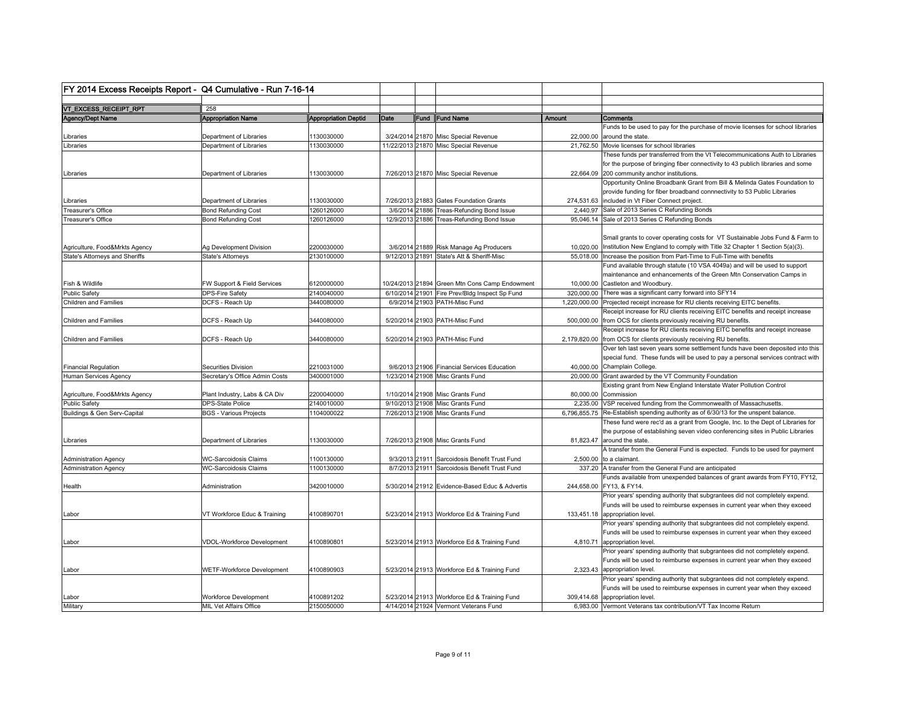| VT_EXCESS_RECEIPT_RPT<br>258<br><b>Appropriation Deptid</b><br>Fund Fund Name<br>Agency/Dept Name<br><b>Appropriation Name</b><br>Date<br><b>Amount</b><br><b>Comments</b><br>Funds to be used to pay for the purchase of movie licenses for school libraries<br>1130030000<br>3/24/2014 21870 Misc Special Revenue<br>22,000.00 around the state.<br>ibraries<br>Department of Libraries<br>ibraries<br>Department of Libraries<br>1130030000<br>11/22/2013 21870 Misc Special Revenue<br>21,762.50 Movie licenses for school libraries<br>These funds per transferred from the Vt Telecommunications Auth to Libraries<br>for the purpose of bringing fiber connectivity to 43 publich libraries and some<br>22,664.09 200 community anchor institutions.<br>Department of Libraries<br>1130030000<br>7/26/2013 21870 Misc Special Revenue<br>Libraries<br>Opportunity Online Broadbank Grant from Bill & Melinda Gates Foundation to<br>provide funding for fiber broadband connnectivity to 53 Public Libraries<br>Department of Libraries<br>1130030000<br>7/26/2013 21883 Gates Foundation Grants<br>274,531.63 included in Vt Fiber Connect project.<br>ibraries<br>Treasurer's Office<br>1260126000<br>3/6/2014 21886 Treas-Refunding Bond Issue<br><b>Bond Refunding Cost</b><br>2,440.97 Sale of 2013 Series C Refunding Bonds<br>Treasurer's Office<br><b>Bond Refunding Cost</b><br>1260126000<br>12/9/2013 21886 Treas-Refunding Bond Issue<br>95,046.14 Sale of 2013 Series C Refunding Bonds<br>Small grants to cover operating costs for VT Sustainable Jobs Fund & Farm to<br>10,020.00 Institution New England to comply with Title 32 Chapter 1 Section 5(a)(3).<br>Agriculture, Food&Mrkts Agency<br>Ag Development Division<br>2200030000<br>3/6/2014 21889 Risk Manage Ag Producers<br>9/12/2013 21891 State's Att & Sheriff-Misc<br><b>State's Attorneys and Sheriffs</b><br><b>State's Attorneys</b><br>2130100000<br>55,018.00  Increase the position from Part-Time to Full-Time with benefits<br>Fund available through statute (10 VSA 4049a) and will be used to support<br>maintenance and enhancements of the Green Mtn Conservation Camps in<br>Fish & Wildlife<br>FW Support & Field Services<br>6120000000<br>10/24/2013 21894 Green Mtn Cons Camp Endowment<br>10,000.00 Castleton and Woodbury.<br>2140040000<br><b>Public Safety</b><br><b>DPS-Fire Safety</b><br>6/10/2014 21901 Fire Prev/Bldg Inspect Sp Fund<br>320,000.00 There was a significant carry forward into SFY14<br>DCFS - Reach Up<br>3440080000<br>6/9/2014 21903 PATH-Misc Fund<br>1,220,000.00 Projected receipt increase for RU clients receiving EITC benefits.<br><b>Children and Families</b><br>Receipt increase for RU clients receiving EITC benefits and receipt increase<br>3440080000<br>5/20/2014 21903 PATH-Misc Fund<br>500,000.00 from OCS for clients previously receiving RU benefits.<br><b>Children and Families</b><br>DCFS - Reach Up<br>Receipt increase for RU clients receiving EITC benefits and receipt increase<br><b>Children and Families</b><br>DCFS - Reach Up<br>3440080000<br>5/20/2014 21903 PATH-Misc Fund<br>2,179,820.00 from OCS for clients previously receiving RU benefits.<br>Over teh last seven years some settlement funds have been deposited into this<br>special fund. These funds will be used to pay a personal services contract with<br>40,000.00 Champlain College.<br><b>Financial Regulation</b><br>Securities Division<br>2210031000<br>9/6/2013 21906 Financial Services Education<br>3400001000<br>1/23/2014 21908 Misc Grants Fund<br>Human Services Agency<br>Secretary's Office Admin Costs<br>20,000.00 Grant awarded by the VT Community Foundation<br>Existing grant from New England Interstate Water Pollution Control<br>1/10/2014 21908 Misc Grants Fund<br>Agriculture, Food&Mrkts Agency<br>Plant Industry, Labs & CA Div<br>2200040000<br>80,000.00 Commission<br>2140010000<br>9/10/2013 21908 Misc Grants Fund<br>2,235.00 VSP received funding from the Commonwealth of Massachusetts.<br><b>Public Safety</b><br><b>DPS-State Police</b><br>Buildings & Gen Serv-Capital<br><b>BGS - Various Projects</b><br>1104000022<br>7/26/2013 21908 Misc Grants Fund<br>6,796,855.75 Re-Establish spending authority as of 6/30/13 for the unspent balance.<br>These fund were rec'd as a grant from Google, Inc. to the Dept of Libraries for<br>the purpose of establishing seven video conferencing sites in Public Libraries<br>1130030000<br>7/26/2013 21908 Misc Grants Fund<br>Libraries<br>Department of Libraries<br>81,823.47 around the state.<br>A transfer from the General Fund is expected. Funds to be used for payment<br><b>Administration Agency</b><br><b>WC-Sarcoidosis Claims</b><br>1100130000<br>9/3/2013 21911 Sarcoidosis Benefit Trust Fund<br>$2,500.00$ to a claimant.<br>1100130000<br>337.20 A transfer from the General Fund are anticipated<br><b>Administration Agency</b><br><b>WC-Sarcoidosis Claims</b><br>8/7/2013 21911 Sarcoidosis Benefit Trust Fund<br>Funds available from unexpended balances of grant awards from FY10, FY12,<br>3420010000<br>244,658.00 FY13, & FY14.<br>Health<br>Administration<br>5/30/2014 21912 Evidence-Based Educ & Advertis<br>Prior years' spending authority that subgrantees did not completely expend.<br>Funds will be used to reimburse expenses in current year when they exceed<br>VT Workforce Educ & Training<br>4100890701<br>5/23/2014 21913 Workforce Ed & Training Fund<br>133,451.18 appropriation level<br>_abor<br>Prior years' spending authority that subgrantees did not completely expend.<br>Funds will be used to reimburse expenses in current year when they exceed<br>VDOL-Workforce Development<br>4100890801<br>5/23/2014 21913 Workforce Ed & Training Fund<br>4,810.71 appropriation level.<br>_abor<br>Prior years' spending authority that subgrantees did not completely expend.<br>Funds will be used to reimburse expenses in current year when they exceed<br>WETF-Workforce Development<br>4100890903<br>5/23/2014 21913 Workforce Ed & Training Fund<br>2,323.43 appropriation level.<br>Labor<br>Prior years' spending authority that subgrantees did not completely expend.<br>Funds will be used to reimburse expenses in current year when they exceed<br>5/23/2014 21913 Workforce Ed & Training Fund<br><b>Workforce Development</b><br>4100891202<br>309,414.68 appropriation level.<br>.abor<br>Military<br><b>MIL Vet Affairs Office</b><br>2150050000<br>4/14/2014 21924 Vermont Veterans Fund<br>6.983.00 Vermont Veterans tax contribution/VT Tax Income Return | FY 2014 Excess Receipts Report - Q4 Cumulative - Run 7-16-14 |  |  |  |
|-------------------------------------------------------------------------------------------------------------------------------------------------------------------------------------------------------------------------------------------------------------------------------------------------------------------------------------------------------------------------------------------------------------------------------------------------------------------------------------------------------------------------------------------------------------------------------------------------------------------------------------------------------------------------------------------------------------------------------------------------------------------------------------------------------------------------------------------------------------------------------------------------------------------------------------------------------------------------------------------------------------------------------------------------------------------------------------------------------------------------------------------------------------------------------------------------------------------------------------------------------------------------------------------------------------------------------------------------------------------------------------------------------------------------------------------------------------------------------------------------------------------------------------------------------------------------------------------------------------------------------------------------------------------------------------------------------------------------------------------------------------------------------------------------------------------------------------------------------------------------------------------------------------------------------------------------------------------------------------------------------------------------------------------------------------------------------------------------------------------------------------------------------------------------------------------------------------------------------------------------------------------------------------------------------------------------------------------------------------------------------------------------------------------------------------------------------------------------------------------------------------------------------------------------------------------------------------------------------------------------------------------------------------------------------------------------------------------------------------------------------------------------------------------------------------------------------------------------------------------------------------------------------------------------------------------------------------------------------------------------------------------------------------------------------------------------------------------------------------------------------------------------------------------------------------------------------------------------------------------------------------------------------------------------------------------------------------------------------------------------------------------------------------------------------------------------------------------------------------------------------------------------------------------------------------------------------------------------------------------------------------------------------------------------------------------------------------------------------------------------------------------------------------------------------------------------------------------------------------------------------------------------------------------------------------------------------------------------------------------------------------------------------------------------------------------------------------------------------------------------------------------------------------------------------------------------------------------------------------------------------------------------------------------------------------------------------------------------------------------------------------------------------------------------------------------------------------------------------------------------------------------------------------------------------------------------------------------------------------------------------------------------------------------------------------------------------------------------------------------------------------------------------------------------------------------------------------------------------------------------------------------------------------------------------------------------------------------------------------------------------------------------------------------------------------------------------------------------------------------------------------------------------------------------------------------------------------------------------------------------------------------------------------------------------------------------------------------------------------------------------------------------------------------------------------------------------------------------------------------------------------------------------------------------------------------------------------------------------------------------------------------------------------------------------------------------------------------------------------------------------------------------------------------------------------------------------------------------------------------------------------------------------------------------------------------------------------------------------------------------------------------------------------------------------------------------------------------------------------------------------------------------------------------------------------------------------------------------------------------------------------------------------------------------------------------------------------------------------------------------------------------------------------------------------------------------------------------------------------------------------------------------------------------------------------------------------------------------------------------------------------------------------------------|--------------------------------------------------------------|--|--|--|
|                                                                                                                                                                                                                                                                                                                                                                                                                                                                                                                                                                                                                                                                                                                                                                                                                                                                                                                                                                                                                                                                                                                                                                                                                                                                                                                                                                                                                                                                                                                                                                                                                                                                                                                                                                                                                                                                                                                                                                                                                                                                                                                                                                                                                                                                                                                                                                                                                                                                                                                                                                                                                                                                                                                                                                                                                                                                                                                                                                                                                                                                                                                                                                                                                                                                                                                                                                                                                                                                                                                                                                                                                                                                                                                                                                                                                                                                                                                                                                                                                                                                                                                                                                                                                                                                                                                                                                                                                                                                                                                                                                                                                                                                                                                                                                                                                                                                                                                                                                                                                                                                                                                                                                                                                                                                                                                                                                                                                                                                                                                                                                                                                                                                                                                                                                                                                                                                                                                                                                                                                                                                                                                                                                                                                                                                                                                                                                                                                                                                                                                                                                                                                                                                   |                                                              |  |  |  |
|                                                                                                                                                                                                                                                                                                                                                                                                                                                                                                                                                                                                                                                                                                                                                                                                                                                                                                                                                                                                                                                                                                                                                                                                                                                                                                                                                                                                                                                                                                                                                                                                                                                                                                                                                                                                                                                                                                                                                                                                                                                                                                                                                                                                                                                                                                                                                                                                                                                                                                                                                                                                                                                                                                                                                                                                                                                                                                                                                                                                                                                                                                                                                                                                                                                                                                                                                                                                                                                                                                                                                                                                                                                                                                                                                                                                                                                                                                                                                                                                                                                                                                                                                                                                                                                                                                                                                                                                                                                                                                                                                                                                                                                                                                                                                                                                                                                                                                                                                                                                                                                                                                                                                                                                                                                                                                                                                                                                                                                                                                                                                                                                                                                                                                                                                                                                                                                                                                                                                                                                                                                                                                                                                                                                                                                                                                                                                                                                                                                                                                                                                                                                                                                                   |                                                              |  |  |  |
|                                                                                                                                                                                                                                                                                                                                                                                                                                                                                                                                                                                                                                                                                                                                                                                                                                                                                                                                                                                                                                                                                                                                                                                                                                                                                                                                                                                                                                                                                                                                                                                                                                                                                                                                                                                                                                                                                                                                                                                                                                                                                                                                                                                                                                                                                                                                                                                                                                                                                                                                                                                                                                                                                                                                                                                                                                                                                                                                                                                                                                                                                                                                                                                                                                                                                                                                                                                                                                                                                                                                                                                                                                                                                                                                                                                                                                                                                                                                                                                                                                                                                                                                                                                                                                                                                                                                                                                                                                                                                                                                                                                                                                                                                                                                                                                                                                                                                                                                                                                                                                                                                                                                                                                                                                                                                                                                                                                                                                                                                                                                                                                                                                                                                                                                                                                                                                                                                                                                                                                                                                                                                                                                                                                                                                                                                                                                                                                                                                                                                                                                                                                                                                                                   |                                                              |  |  |  |
|                                                                                                                                                                                                                                                                                                                                                                                                                                                                                                                                                                                                                                                                                                                                                                                                                                                                                                                                                                                                                                                                                                                                                                                                                                                                                                                                                                                                                                                                                                                                                                                                                                                                                                                                                                                                                                                                                                                                                                                                                                                                                                                                                                                                                                                                                                                                                                                                                                                                                                                                                                                                                                                                                                                                                                                                                                                                                                                                                                                                                                                                                                                                                                                                                                                                                                                                                                                                                                                                                                                                                                                                                                                                                                                                                                                                                                                                                                                                                                                                                                                                                                                                                                                                                                                                                                                                                                                                                                                                                                                                                                                                                                                                                                                                                                                                                                                                                                                                                                                                                                                                                                                                                                                                                                                                                                                                                                                                                                                                                                                                                                                                                                                                                                                                                                                                                                                                                                                                                                                                                                                                                                                                                                                                                                                                                                                                                                                                                                                                                                                                                                                                                                                                   |                                                              |  |  |  |
|                                                                                                                                                                                                                                                                                                                                                                                                                                                                                                                                                                                                                                                                                                                                                                                                                                                                                                                                                                                                                                                                                                                                                                                                                                                                                                                                                                                                                                                                                                                                                                                                                                                                                                                                                                                                                                                                                                                                                                                                                                                                                                                                                                                                                                                                                                                                                                                                                                                                                                                                                                                                                                                                                                                                                                                                                                                                                                                                                                                                                                                                                                                                                                                                                                                                                                                                                                                                                                                                                                                                                                                                                                                                                                                                                                                                                                                                                                                                                                                                                                                                                                                                                                                                                                                                                                                                                                                                                                                                                                                                                                                                                                                                                                                                                                                                                                                                                                                                                                                                                                                                                                                                                                                                                                                                                                                                                                                                                                                                                                                                                                                                                                                                                                                                                                                                                                                                                                                                                                                                                                                                                                                                                                                                                                                                                                                                                                                                                                                                                                                                                                                                                                                                   |                                                              |  |  |  |
|                                                                                                                                                                                                                                                                                                                                                                                                                                                                                                                                                                                                                                                                                                                                                                                                                                                                                                                                                                                                                                                                                                                                                                                                                                                                                                                                                                                                                                                                                                                                                                                                                                                                                                                                                                                                                                                                                                                                                                                                                                                                                                                                                                                                                                                                                                                                                                                                                                                                                                                                                                                                                                                                                                                                                                                                                                                                                                                                                                                                                                                                                                                                                                                                                                                                                                                                                                                                                                                                                                                                                                                                                                                                                                                                                                                                                                                                                                                                                                                                                                                                                                                                                                                                                                                                                                                                                                                                                                                                                                                                                                                                                                                                                                                                                                                                                                                                                                                                                                                                                                                                                                                                                                                                                                                                                                                                                                                                                                                                                                                                                                                                                                                                                                                                                                                                                                                                                                                                                                                                                                                                                                                                                                                                                                                                                                                                                                                                                                                                                                                                                                                                                                                                   |                                                              |  |  |  |
|                                                                                                                                                                                                                                                                                                                                                                                                                                                                                                                                                                                                                                                                                                                                                                                                                                                                                                                                                                                                                                                                                                                                                                                                                                                                                                                                                                                                                                                                                                                                                                                                                                                                                                                                                                                                                                                                                                                                                                                                                                                                                                                                                                                                                                                                                                                                                                                                                                                                                                                                                                                                                                                                                                                                                                                                                                                                                                                                                                                                                                                                                                                                                                                                                                                                                                                                                                                                                                                                                                                                                                                                                                                                                                                                                                                                                                                                                                                                                                                                                                                                                                                                                                                                                                                                                                                                                                                                                                                                                                                                                                                                                                                                                                                                                                                                                                                                                                                                                                                                                                                                                                                                                                                                                                                                                                                                                                                                                                                                                                                                                                                                                                                                                                                                                                                                                                                                                                                                                                                                                                                                                                                                                                                                                                                                                                                                                                                                                                                                                                                                                                                                                                                                   |                                                              |  |  |  |
|                                                                                                                                                                                                                                                                                                                                                                                                                                                                                                                                                                                                                                                                                                                                                                                                                                                                                                                                                                                                                                                                                                                                                                                                                                                                                                                                                                                                                                                                                                                                                                                                                                                                                                                                                                                                                                                                                                                                                                                                                                                                                                                                                                                                                                                                                                                                                                                                                                                                                                                                                                                                                                                                                                                                                                                                                                                                                                                                                                                                                                                                                                                                                                                                                                                                                                                                                                                                                                                                                                                                                                                                                                                                                                                                                                                                                                                                                                                                                                                                                                                                                                                                                                                                                                                                                                                                                                                                                                                                                                                                                                                                                                                                                                                                                                                                                                                                                                                                                                                                                                                                                                                                                                                                                                                                                                                                                                                                                                                                                                                                                                                                                                                                                                                                                                                                                                                                                                                                                                                                                                                                                                                                                                                                                                                                                                                                                                                                                                                                                                                                                                                                                                                                   |                                                              |  |  |  |
|                                                                                                                                                                                                                                                                                                                                                                                                                                                                                                                                                                                                                                                                                                                                                                                                                                                                                                                                                                                                                                                                                                                                                                                                                                                                                                                                                                                                                                                                                                                                                                                                                                                                                                                                                                                                                                                                                                                                                                                                                                                                                                                                                                                                                                                                                                                                                                                                                                                                                                                                                                                                                                                                                                                                                                                                                                                                                                                                                                                                                                                                                                                                                                                                                                                                                                                                                                                                                                                                                                                                                                                                                                                                                                                                                                                                                                                                                                                                                                                                                                                                                                                                                                                                                                                                                                                                                                                                                                                                                                                                                                                                                                                                                                                                                                                                                                                                                                                                                                                                                                                                                                                                                                                                                                                                                                                                                                                                                                                                                                                                                                                                                                                                                                                                                                                                                                                                                                                                                                                                                                                                                                                                                                                                                                                                                                                                                                                                                                                                                                                                                                                                                                                                   |                                                              |  |  |  |
|                                                                                                                                                                                                                                                                                                                                                                                                                                                                                                                                                                                                                                                                                                                                                                                                                                                                                                                                                                                                                                                                                                                                                                                                                                                                                                                                                                                                                                                                                                                                                                                                                                                                                                                                                                                                                                                                                                                                                                                                                                                                                                                                                                                                                                                                                                                                                                                                                                                                                                                                                                                                                                                                                                                                                                                                                                                                                                                                                                                                                                                                                                                                                                                                                                                                                                                                                                                                                                                                                                                                                                                                                                                                                                                                                                                                                                                                                                                                                                                                                                                                                                                                                                                                                                                                                                                                                                                                                                                                                                                                                                                                                                                                                                                                                                                                                                                                                                                                                                                                                                                                                                                                                                                                                                                                                                                                                                                                                                                                                                                                                                                                                                                                                                                                                                                                                                                                                                                                                                                                                                                                                                                                                                                                                                                                                                                                                                                                                                                                                                                                                                                                                                                                   |                                                              |  |  |  |
|                                                                                                                                                                                                                                                                                                                                                                                                                                                                                                                                                                                                                                                                                                                                                                                                                                                                                                                                                                                                                                                                                                                                                                                                                                                                                                                                                                                                                                                                                                                                                                                                                                                                                                                                                                                                                                                                                                                                                                                                                                                                                                                                                                                                                                                                                                                                                                                                                                                                                                                                                                                                                                                                                                                                                                                                                                                                                                                                                                                                                                                                                                                                                                                                                                                                                                                                                                                                                                                                                                                                                                                                                                                                                                                                                                                                                                                                                                                                                                                                                                                                                                                                                                                                                                                                                                                                                                                                                                                                                                                                                                                                                                                                                                                                                                                                                                                                                                                                                                                                                                                                                                                                                                                                                                                                                                                                                                                                                                                                                                                                                                                                                                                                                                                                                                                                                                                                                                                                                                                                                                                                                                                                                                                                                                                                                                                                                                                                                                                                                                                                                                                                                                                                   |                                                              |  |  |  |
|                                                                                                                                                                                                                                                                                                                                                                                                                                                                                                                                                                                                                                                                                                                                                                                                                                                                                                                                                                                                                                                                                                                                                                                                                                                                                                                                                                                                                                                                                                                                                                                                                                                                                                                                                                                                                                                                                                                                                                                                                                                                                                                                                                                                                                                                                                                                                                                                                                                                                                                                                                                                                                                                                                                                                                                                                                                                                                                                                                                                                                                                                                                                                                                                                                                                                                                                                                                                                                                                                                                                                                                                                                                                                                                                                                                                                                                                                                                                                                                                                                                                                                                                                                                                                                                                                                                                                                                                                                                                                                                                                                                                                                                                                                                                                                                                                                                                                                                                                                                                                                                                                                                                                                                                                                                                                                                                                                                                                                                                                                                                                                                                                                                                                                                                                                                                                                                                                                                                                                                                                                                                                                                                                                                                                                                                                                                                                                                                                                                                                                                                                                                                                                                                   |                                                              |  |  |  |
|                                                                                                                                                                                                                                                                                                                                                                                                                                                                                                                                                                                                                                                                                                                                                                                                                                                                                                                                                                                                                                                                                                                                                                                                                                                                                                                                                                                                                                                                                                                                                                                                                                                                                                                                                                                                                                                                                                                                                                                                                                                                                                                                                                                                                                                                                                                                                                                                                                                                                                                                                                                                                                                                                                                                                                                                                                                                                                                                                                                                                                                                                                                                                                                                                                                                                                                                                                                                                                                                                                                                                                                                                                                                                                                                                                                                                                                                                                                                                                                                                                                                                                                                                                                                                                                                                                                                                                                                                                                                                                                                                                                                                                                                                                                                                                                                                                                                                                                                                                                                                                                                                                                                                                                                                                                                                                                                                                                                                                                                                                                                                                                                                                                                                                                                                                                                                                                                                                                                                                                                                                                                                                                                                                                                                                                                                                                                                                                                                                                                                                                                                                                                                                                                   |                                                              |  |  |  |
|                                                                                                                                                                                                                                                                                                                                                                                                                                                                                                                                                                                                                                                                                                                                                                                                                                                                                                                                                                                                                                                                                                                                                                                                                                                                                                                                                                                                                                                                                                                                                                                                                                                                                                                                                                                                                                                                                                                                                                                                                                                                                                                                                                                                                                                                                                                                                                                                                                                                                                                                                                                                                                                                                                                                                                                                                                                                                                                                                                                                                                                                                                                                                                                                                                                                                                                                                                                                                                                                                                                                                                                                                                                                                                                                                                                                                                                                                                                                                                                                                                                                                                                                                                                                                                                                                                                                                                                                                                                                                                                                                                                                                                                                                                                                                                                                                                                                                                                                                                                                                                                                                                                                                                                                                                                                                                                                                                                                                                                                                                                                                                                                                                                                                                                                                                                                                                                                                                                                                                                                                                                                                                                                                                                                                                                                                                                                                                                                                                                                                                                                                                                                                                                                   |                                                              |  |  |  |
|                                                                                                                                                                                                                                                                                                                                                                                                                                                                                                                                                                                                                                                                                                                                                                                                                                                                                                                                                                                                                                                                                                                                                                                                                                                                                                                                                                                                                                                                                                                                                                                                                                                                                                                                                                                                                                                                                                                                                                                                                                                                                                                                                                                                                                                                                                                                                                                                                                                                                                                                                                                                                                                                                                                                                                                                                                                                                                                                                                                                                                                                                                                                                                                                                                                                                                                                                                                                                                                                                                                                                                                                                                                                                                                                                                                                                                                                                                                                                                                                                                                                                                                                                                                                                                                                                                                                                                                                                                                                                                                                                                                                                                                                                                                                                                                                                                                                                                                                                                                                                                                                                                                                                                                                                                                                                                                                                                                                                                                                                                                                                                                                                                                                                                                                                                                                                                                                                                                                                                                                                                                                                                                                                                                                                                                                                                                                                                                                                                                                                                                                                                                                                                                                   |                                                              |  |  |  |
|                                                                                                                                                                                                                                                                                                                                                                                                                                                                                                                                                                                                                                                                                                                                                                                                                                                                                                                                                                                                                                                                                                                                                                                                                                                                                                                                                                                                                                                                                                                                                                                                                                                                                                                                                                                                                                                                                                                                                                                                                                                                                                                                                                                                                                                                                                                                                                                                                                                                                                                                                                                                                                                                                                                                                                                                                                                                                                                                                                                                                                                                                                                                                                                                                                                                                                                                                                                                                                                                                                                                                                                                                                                                                                                                                                                                                                                                                                                                                                                                                                                                                                                                                                                                                                                                                                                                                                                                                                                                                                                                                                                                                                                                                                                                                                                                                                                                                                                                                                                                                                                                                                                                                                                                                                                                                                                                                                                                                                                                                                                                                                                                                                                                                                                                                                                                                                                                                                                                                                                                                                                                                                                                                                                                                                                                                                                                                                                                                                                                                                                                                                                                                                                                   |                                                              |  |  |  |
|                                                                                                                                                                                                                                                                                                                                                                                                                                                                                                                                                                                                                                                                                                                                                                                                                                                                                                                                                                                                                                                                                                                                                                                                                                                                                                                                                                                                                                                                                                                                                                                                                                                                                                                                                                                                                                                                                                                                                                                                                                                                                                                                                                                                                                                                                                                                                                                                                                                                                                                                                                                                                                                                                                                                                                                                                                                                                                                                                                                                                                                                                                                                                                                                                                                                                                                                                                                                                                                                                                                                                                                                                                                                                                                                                                                                                                                                                                                                                                                                                                                                                                                                                                                                                                                                                                                                                                                                                                                                                                                                                                                                                                                                                                                                                                                                                                                                                                                                                                                                                                                                                                                                                                                                                                                                                                                                                                                                                                                                                                                                                                                                                                                                                                                                                                                                                                                                                                                                                                                                                                                                                                                                                                                                                                                                                                                                                                                                                                                                                                                                                                                                                                                                   |                                                              |  |  |  |
|                                                                                                                                                                                                                                                                                                                                                                                                                                                                                                                                                                                                                                                                                                                                                                                                                                                                                                                                                                                                                                                                                                                                                                                                                                                                                                                                                                                                                                                                                                                                                                                                                                                                                                                                                                                                                                                                                                                                                                                                                                                                                                                                                                                                                                                                                                                                                                                                                                                                                                                                                                                                                                                                                                                                                                                                                                                                                                                                                                                                                                                                                                                                                                                                                                                                                                                                                                                                                                                                                                                                                                                                                                                                                                                                                                                                                                                                                                                                                                                                                                                                                                                                                                                                                                                                                                                                                                                                                                                                                                                                                                                                                                                                                                                                                                                                                                                                                                                                                                                                                                                                                                                                                                                                                                                                                                                                                                                                                                                                                                                                                                                                                                                                                                                                                                                                                                                                                                                                                                                                                                                                                                                                                                                                                                                                                                                                                                                                                                                                                                                                                                                                                                                                   |                                                              |  |  |  |
|                                                                                                                                                                                                                                                                                                                                                                                                                                                                                                                                                                                                                                                                                                                                                                                                                                                                                                                                                                                                                                                                                                                                                                                                                                                                                                                                                                                                                                                                                                                                                                                                                                                                                                                                                                                                                                                                                                                                                                                                                                                                                                                                                                                                                                                                                                                                                                                                                                                                                                                                                                                                                                                                                                                                                                                                                                                                                                                                                                                                                                                                                                                                                                                                                                                                                                                                                                                                                                                                                                                                                                                                                                                                                                                                                                                                                                                                                                                                                                                                                                                                                                                                                                                                                                                                                                                                                                                                                                                                                                                                                                                                                                                                                                                                                                                                                                                                                                                                                                                                                                                                                                                                                                                                                                                                                                                                                                                                                                                                                                                                                                                                                                                                                                                                                                                                                                                                                                                                                                                                                                                                                                                                                                                                                                                                                                                                                                                                                                                                                                                                                                                                                                                                   |                                                              |  |  |  |
|                                                                                                                                                                                                                                                                                                                                                                                                                                                                                                                                                                                                                                                                                                                                                                                                                                                                                                                                                                                                                                                                                                                                                                                                                                                                                                                                                                                                                                                                                                                                                                                                                                                                                                                                                                                                                                                                                                                                                                                                                                                                                                                                                                                                                                                                                                                                                                                                                                                                                                                                                                                                                                                                                                                                                                                                                                                                                                                                                                                                                                                                                                                                                                                                                                                                                                                                                                                                                                                                                                                                                                                                                                                                                                                                                                                                                                                                                                                                                                                                                                                                                                                                                                                                                                                                                                                                                                                                                                                                                                                                                                                                                                                                                                                                                                                                                                                                                                                                                                                                                                                                                                                                                                                                                                                                                                                                                                                                                                                                                                                                                                                                                                                                                                                                                                                                                                                                                                                                                                                                                                                                                                                                                                                                                                                                                                                                                                                                                                                                                                                                                                                                                                                                   |                                                              |  |  |  |
|                                                                                                                                                                                                                                                                                                                                                                                                                                                                                                                                                                                                                                                                                                                                                                                                                                                                                                                                                                                                                                                                                                                                                                                                                                                                                                                                                                                                                                                                                                                                                                                                                                                                                                                                                                                                                                                                                                                                                                                                                                                                                                                                                                                                                                                                                                                                                                                                                                                                                                                                                                                                                                                                                                                                                                                                                                                                                                                                                                                                                                                                                                                                                                                                                                                                                                                                                                                                                                                                                                                                                                                                                                                                                                                                                                                                                                                                                                                                                                                                                                                                                                                                                                                                                                                                                                                                                                                                                                                                                                                                                                                                                                                                                                                                                                                                                                                                                                                                                                                                                                                                                                                                                                                                                                                                                                                                                                                                                                                                                                                                                                                                                                                                                                                                                                                                                                                                                                                                                                                                                                                                                                                                                                                                                                                                                                                                                                                                                                                                                                                                                                                                                                                                   |                                                              |  |  |  |
|                                                                                                                                                                                                                                                                                                                                                                                                                                                                                                                                                                                                                                                                                                                                                                                                                                                                                                                                                                                                                                                                                                                                                                                                                                                                                                                                                                                                                                                                                                                                                                                                                                                                                                                                                                                                                                                                                                                                                                                                                                                                                                                                                                                                                                                                                                                                                                                                                                                                                                                                                                                                                                                                                                                                                                                                                                                                                                                                                                                                                                                                                                                                                                                                                                                                                                                                                                                                                                                                                                                                                                                                                                                                                                                                                                                                                                                                                                                                                                                                                                                                                                                                                                                                                                                                                                                                                                                                                                                                                                                                                                                                                                                                                                                                                                                                                                                                                                                                                                                                                                                                                                                                                                                                                                                                                                                                                                                                                                                                                                                                                                                                                                                                                                                                                                                                                                                                                                                                                                                                                                                                                                                                                                                                                                                                                                                                                                                                                                                                                                                                                                                                                                                                   |                                                              |  |  |  |
|                                                                                                                                                                                                                                                                                                                                                                                                                                                                                                                                                                                                                                                                                                                                                                                                                                                                                                                                                                                                                                                                                                                                                                                                                                                                                                                                                                                                                                                                                                                                                                                                                                                                                                                                                                                                                                                                                                                                                                                                                                                                                                                                                                                                                                                                                                                                                                                                                                                                                                                                                                                                                                                                                                                                                                                                                                                                                                                                                                                                                                                                                                                                                                                                                                                                                                                                                                                                                                                                                                                                                                                                                                                                                                                                                                                                                                                                                                                                                                                                                                                                                                                                                                                                                                                                                                                                                                                                                                                                                                                                                                                                                                                                                                                                                                                                                                                                                                                                                                                                                                                                                                                                                                                                                                                                                                                                                                                                                                                                                                                                                                                                                                                                                                                                                                                                                                                                                                                                                                                                                                                                                                                                                                                                                                                                                                                                                                                                                                                                                                                                                                                                                                                                   |                                                              |  |  |  |
|                                                                                                                                                                                                                                                                                                                                                                                                                                                                                                                                                                                                                                                                                                                                                                                                                                                                                                                                                                                                                                                                                                                                                                                                                                                                                                                                                                                                                                                                                                                                                                                                                                                                                                                                                                                                                                                                                                                                                                                                                                                                                                                                                                                                                                                                                                                                                                                                                                                                                                                                                                                                                                                                                                                                                                                                                                                                                                                                                                                                                                                                                                                                                                                                                                                                                                                                                                                                                                                                                                                                                                                                                                                                                                                                                                                                                                                                                                                                                                                                                                                                                                                                                                                                                                                                                                                                                                                                                                                                                                                                                                                                                                                                                                                                                                                                                                                                                                                                                                                                                                                                                                                                                                                                                                                                                                                                                                                                                                                                                                                                                                                                                                                                                                                                                                                                                                                                                                                                                                                                                                                                                                                                                                                                                                                                                                                                                                                                                                                                                                                                                                                                                                                                   |                                                              |  |  |  |
|                                                                                                                                                                                                                                                                                                                                                                                                                                                                                                                                                                                                                                                                                                                                                                                                                                                                                                                                                                                                                                                                                                                                                                                                                                                                                                                                                                                                                                                                                                                                                                                                                                                                                                                                                                                                                                                                                                                                                                                                                                                                                                                                                                                                                                                                                                                                                                                                                                                                                                                                                                                                                                                                                                                                                                                                                                                                                                                                                                                                                                                                                                                                                                                                                                                                                                                                                                                                                                                                                                                                                                                                                                                                                                                                                                                                                                                                                                                                                                                                                                                                                                                                                                                                                                                                                                                                                                                                                                                                                                                                                                                                                                                                                                                                                                                                                                                                                                                                                                                                                                                                                                                                                                                                                                                                                                                                                                                                                                                                                                                                                                                                                                                                                                                                                                                                                                                                                                                                                                                                                                                                                                                                                                                                                                                                                                                                                                                                                                                                                                                                                                                                                                                                   |                                                              |  |  |  |
|                                                                                                                                                                                                                                                                                                                                                                                                                                                                                                                                                                                                                                                                                                                                                                                                                                                                                                                                                                                                                                                                                                                                                                                                                                                                                                                                                                                                                                                                                                                                                                                                                                                                                                                                                                                                                                                                                                                                                                                                                                                                                                                                                                                                                                                                                                                                                                                                                                                                                                                                                                                                                                                                                                                                                                                                                                                                                                                                                                                                                                                                                                                                                                                                                                                                                                                                                                                                                                                                                                                                                                                                                                                                                                                                                                                                                                                                                                                                                                                                                                                                                                                                                                                                                                                                                                                                                                                                                                                                                                                                                                                                                                                                                                                                                                                                                                                                                                                                                                                                                                                                                                                                                                                                                                                                                                                                                                                                                                                                                                                                                                                                                                                                                                                                                                                                                                                                                                                                                                                                                                                                                                                                                                                                                                                                                                                                                                                                                                                                                                                                                                                                                                                                   |                                                              |  |  |  |
|                                                                                                                                                                                                                                                                                                                                                                                                                                                                                                                                                                                                                                                                                                                                                                                                                                                                                                                                                                                                                                                                                                                                                                                                                                                                                                                                                                                                                                                                                                                                                                                                                                                                                                                                                                                                                                                                                                                                                                                                                                                                                                                                                                                                                                                                                                                                                                                                                                                                                                                                                                                                                                                                                                                                                                                                                                                                                                                                                                                                                                                                                                                                                                                                                                                                                                                                                                                                                                                                                                                                                                                                                                                                                                                                                                                                                                                                                                                                                                                                                                                                                                                                                                                                                                                                                                                                                                                                                                                                                                                                                                                                                                                                                                                                                                                                                                                                                                                                                                                                                                                                                                                                                                                                                                                                                                                                                                                                                                                                                                                                                                                                                                                                                                                                                                                                                                                                                                                                                                                                                                                                                                                                                                                                                                                                                                                                                                                                                                                                                                                                                                                                                                                                   |                                                              |  |  |  |
|                                                                                                                                                                                                                                                                                                                                                                                                                                                                                                                                                                                                                                                                                                                                                                                                                                                                                                                                                                                                                                                                                                                                                                                                                                                                                                                                                                                                                                                                                                                                                                                                                                                                                                                                                                                                                                                                                                                                                                                                                                                                                                                                                                                                                                                                                                                                                                                                                                                                                                                                                                                                                                                                                                                                                                                                                                                                                                                                                                                                                                                                                                                                                                                                                                                                                                                                                                                                                                                                                                                                                                                                                                                                                                                                                                                                                                                                                                                                                                                                                                                                                                                                                                                                                                                                                                                                                                                                                                                                                                                                                                                                                                                                                                                                                                                                                                                                                                                                                                                                                                                                                                                                                                                                                                                                                                                                                                                                                                                                                                                                                                                                                                                                                                                                                                                                                                                                                                                                                                                                                                                                                                                                                                                                                                                                                                                                                                                                                                                                                                                                                                                                                                                                   |                                                              |  |  |  |
|                                                                                                                                                                                                                                                                                                                                                                                                                                                                                                                                                                                                                                                                                                                                                                                                                                                                                                                                                                                                                                                                                                                                                                                                                                                                                                                                                                                                                                                                                                                                                                                                                                                                                                                                                                                                                                                                                                                                                                                                                                                                                                                                                                                                                                                                                                                                                                                                                                                                                                                                                                                                                                                                                                                                                                                                                                                                                                                                                                                                                                                                                                                                                                                                                                                                                                                                                                                                                                                                                                                                                                                                                                                                                                                                                                                                                                                                                                                                                                                                                                                                                                                                                                                                                                                                                                                                                                                                                                                                                                                                                                                                                                                                                                                                                                                                                                                                                                                                                                                                                                                                                                                                                                                                                                                                                                                                                                                                                                                                                                                                                                                                                                                                                                                                                                                                                                                                                                                                                                                                                                                                                                                                                                                                                                                                                                                                                                                                                                                                                                                                                                                                                                                                   |                                                              |  |  |  |
|                                                                                                                                                                                                                                                                                                                                                                                                                                                                                                                                                                                                                                                                                                                                                                                                                                                                                                                                                                                                                                                                                                                                                                                                                                                                                                                                                                                                                                                                                                                                                                                                                                                                                                                                                                                                                                                                                                                                                                                                                                                                                                                                                                                                                                                                                                                                                                                                                                                                                                                                                                                                                                                                                                                                                                                                                                                                                                                                                                                                                                                                                                                                                                                                                                                                                                                                                                                                                                                                                                                                                                                                                                                                                                                                                                                                                                                                                                                                                                                                                                                                                                                                                                                                                                                                                                                                                                                                                                                                                                                                                                                                                                                                                                                                                                                                                                                                                                                                                                                                                                                                                                                                                                                                                                                                                                                                                                                                                                                                                                                                                                                                                                                                                                                                                                                                                                                                                                                                                                                                                                                                                                                                                                                                                                                                                                                                                                                                                                                                                                                                                                                                                                                                   |                                                              |  |  |  |
|                                                                                                                                                                                                                                                                                                                                                                                                                                                                                                                                                                                                                                                                                                                                                                                                                                                                                                                                                                                                                                                                                                                                                                                                                                                                                                                                                                                                                                                                                                                                                                                                                                                                                                                                                                                                                                                                                                                                                                                                                                                                                                                                                                                                                                                                                                                                                                                                                                                                                                                                                                                                                                                                                                                                                                                                                                                                                                                                                                                                                                                                                                                                                                                                                                                                                                                                                                                                                                                                                                                                                                                                                                                                                                                                                                                                                                                                                                                                                                                                                                                                                                                                                                                                                                                                                                                                                                                                                                                                                                                                                                                                                                                                                                                                                                                                                                                                                                                                                                                                                                                                                                                                                                                                                                                                                                                                                                                                                                                                                                                                                                                                                                                                                                                                                                                                                                                                                                                                                                                                                                                                                                                                                                                                                                                                                                                                                                                                                                                                                                                                                                                                                                                                   |                                                              |  |  |  |
|                                                                                                                                                                                                                                                                                                                                                                                                                                                                                                                                                                                                                                                                                                                                                                                                                                                                                                                                                                                                                                                                                                                                                                                                                                                                                                                                                                                                                                                                                                                                                                                                                                                                                                                                                                                                                                                                                                                                                                                                                                                                                                                                                                                                                                                                                                                                                                                                                                                                                                                                                                                                                                                                                                                                                                                                                                                                                                                                                                                                                                                                                                                                                                                                                                                                                                                                                                                                                                                                                                                                                                                                                                                                                                                                                                                                                                                                                                                                                                                                                                                                                                                                                                                                                                                                                                                                                                                                                                                                                                                                                                                                                                                                                                                                                                                                                                                                                                                                                                                                                                                                                                                                                                                                                                                                                                                                                                                                                                                                                                                                                                                                                                                                                                                                                                                                                                                                                                                                                                                                                                                                                                                                                                                                                                                                                                                                                                                                                                                                                                                                                                                                                                                                   |                                                              |  |  |  |
|                                                                                                                                                                                                                                                                                                                                                                                                                                                                                                                                                                                                                                                                                                                                                                                                                                                                                                                                                                                                                                                                                                                                                                                                                                                                                                                                                                                                                                                                                                                                                                                                                                                                                                                                                                                                                                                                                                                                                                                                                                                                                                                                                                                                                                                                                                                                                                                                                                                                                                                                                                                                                                                                                                                                                                                                                                                                                                                                                                                                                                                                                                                                                                                                                                                                                                                                                                                                                                                                                                                                                                                                                                                                                                                                                                                                                                                                                                                                                                                                                                                                                                                                                                                                                                                                                                                                                                                                                                                                                                                                                                                                                                                                                                                                                                                                                                                                                                                                                                                                                                                                                                                                                                                                                                                                                                                                                                                                                                                                                                                                                                                                                                                                                                                                                                                                                                                                                                                                                                                                                                                                                                                                                                                                                                                                                                                                                                                                                                                                                                                                                                                                                                                                   |                                                              |  |  |  |
|                                                                                                                                                                                                                                                                                                                                                                                                                                                                                                                                                                                                                                                                                                                                                                                                                                                                                                                                                                                                                                                                                                                                                                                                                                                                                                                                                                                                                                                                                                                                                                                                                                                                                                                                                                                                                                                                                                                                                                                                                                                                                                                                                                                                                                                                                                                                                                                                                                                                                                                                                                                                                                                                                                                                                                                                                                                                                                                                                                                                                                                                                                                                                                                                                                                                                                                                                                                                                                                                                                                                                                                                                                                                                                                                                                                                                                                                                                                                                                                                                                                                                                                                                                                                                                                                                                                                                                                                                                                                                                                                                                                                                                                                                                                                                                                                                                                                                                                                                                                                                                                                                                                                                                                                                                                                                                                                                                                                                                                                                                                                                                                                                                                                                                                                                                                                                                                                                                                                                                                                                                                                                                                                                                                                                                                                                                                                                                                                                                                                                                                                                                                                                                                                   |                                                              |  |  |  |
|                                                                                                                                                                                                                                                                                                                                                                                                                                                                                                                                                                                                                                                                                                                                                                                                                                                                                                                                                                                                                                                                                                                                                                                                                                                                                                                                                                                                                                                                                                                                                                                                                                                                                                                                                                                                                                                                                                                                                                                                                                                                                                                                                                                                                                                                                                                                                                                                                                                                                                                                                                                                                                                                                                                                                                                                                                                                                                                                                                                                                                                                                                                                                                                                                                                                                                                                                                                                                                                                                                                                                                                                                                                                                                                                                                                                                                                                                                                                                                                                                                                                                                                                                                                                                                                                                                                                                                                                                                                                                                                                                                                                                                                                                                                                                                                                                                                                                                                                                                                                                                                                                                                                                                                                                                                                                                                                                                                                                                                                                                                                                                                                                                                                                                                                                                                                                                                                                                                                                                                                                                                                                                                                                                                                                                                                                                                                                                                                                                                                                                                                                                                                                                                                   |                                                              |  |  |  |
|                                                                                                                                                                                                                                                                                                                                                                                                                                                                                                                                                                                                                                                                                                                                                                                                                                                                                                                                                                                                                                                                                                                                                                                                                                                                                                                                                                                                                                                                                                                                                                                                                                                                                                                                                                                                                                                                                                                                                                                                                                                                                                                                                                                                                                                                                                                                                                                                                                                                                                                                                                                                                                                                                                                                                                                                                                                                                                                                                                                                                                                                                                                                                                                                                                                                                                                                                                                                                                                                                                                                                                                                                                                                                                                                                                                                                                                                                                                                                                                                                                                                                                                                                                                                                                                                                                                                                                                                                                                                                                                                                                                                                                                                                                                                                                                                                                                                                                                                                                                                                                                                                                                                                                                                                                                                                                                                                                                                                                                                                                                                                                                                                                                                                                                                                                                                                                                                                                                                                                                                                                                                                                                                                                                                                                                                                                                                                                                                                                                                                                                                                                                                                                                                   |                                                              |  |  |  |
|                                                                                                                                                                                                                                                                                                                                                                                                                                                                                                                                                                                                                                                                                                                                                                                                                                                                                                                                                                                                                                                                                                                                                                                                                                                                                                                                                                                                                                                                                                                                                                                                                                                                                                                                                                                                                                                                                                                                                                                                                                                                                                                                                                                                                                                                                                                                                                                                                                                                                                                                                                                                                                                                                                                                                                                                                                                                                                                                                                                                                                                                                                                                                                                                                                                                                                                                                                                                                                                                                                                                                                                                                                                                                                                                                                                                                                                                                                                                                                                                                                                                                                                                                                                                                                                                                                                                                                                                                                                                                                                                                                                                                                                                                                                                                                                                                                                                                                                                                                                                                                                                                                                                                                                                                                                                                                                                                                                                                                                                                                                                                                                                                                                                                                                                                                                                                                                                                                                                                                                                                                                                                                                                                                                                                                                                                                                                                                                                                                                                                                                                                                                                                                                                   |                                                              |  |  |  |
|                                                                                                                                                                                                                                                                                                                                                                                                                                                                                                                                                                                                                                                                                                                                                                                                                                                                                                                                                                                                                                                                                                                                                                                                                                                                                                                                                                                                                                                                                                                                                                                                                                                                                                                                                                                                                                                                                                                                                                                                                                                                                                                                                                                                                                                                                                                                                                                                                                                                                                                                                                                                                                                                                                                                                                                                                                                                                                                                                                                                                                                                                                                                                                                                                                                                                                                                                                                                                                                                                                                                                                                                                                                                                                                                                                                                                                                                                                                                                                                                                                                                                                                                                                                                                                                                                                                                                                                                                                                                                                                                                                                                                                                                                                                                                                                                                                                                                                                                                                                                                                                                                                                                                                                                                                                                                                                                                                                                                                                                                                                                                                                                                                                                                                                                                                                                                                                                                                                                                                                                                                                                                                                                                                                                                                                                                                                                                                                                                                                                                                                                                                                                                                                                   |                                                              |  |  |  |
|                                                                                                                                                                                                                                                                                                                                                                                                                                                                                                                                                                                                                                                                                                                                                                                                                                                                                                                                                                                                                                                                                                                                                                                                                                                                                                                                                                                                                                                                                                                                                                                                                                                                                                                                                                                                                                                                                                                                                                                                                                                                                                                                                                                                                                                                                                                                                                                                                                                                                                                                                                                                                                                                                                                                                                                                                                                                                                                                                                                                                                                                                                                                                                                                                                                                                                                                                                                                                                                                                                                                                                                                                                                                                                                                                                                                                                                                                                                                                                                                                                                                                                                                                                                                                                                                                                                                                                                                                                                                                                                                                                                                                                                                                                                                                                                                                                                                                                                                                                                                                                                                                                                                                                                                                                                                                                                                                                                                                                                                                                                                                                                                                                                                                                                                                                                                                                                                                                                                                                                                                                                                                                                                                                                                                                                                                                                                                                                                                                                                                                                                                                                                                                                                   |                                                              |  |  |  |
|                                                                                                                                                                                                                                                                                                                                                                                                                                                                                                                                                                                                                                                                                                                                                                                                                                                                                                                                                                                                                                                                                                                                                                                                                                                                                                                                                                                                                                                                                                                                                                                                                                                                                                                                                                                                                                                                                                                                                                                                                                                                                                                                                                                                                                                                                                                                                                                                                                                                                                                                                                                                                                                                                                                                                                                                                                                                                                                                                                                                                                                                                                                                                                                                                                                                                                                                                                                                                                                                                                                                                                                                                                                                                                                                                                                                                                                                                                                                                                                                                                                                                                                                                                                                                                                                                                                                                                                                                                                                                                                                                                                                                                                                                                                                                                                                                                                                                                                                                                                                                                                                                                                                                                                                                                                                                                                                                                                                                                                                                                                                                                                                                                                                                                                                                                                                                                                                                                                                                                                                                                                                                                                                                                                                                                                                                                                                                                                                                                                                                                                                                                                                                                                                   |                                                              |  |  |  |
|                                                                                                                                                                                                                                                                                                                                                                                                                                                                                                                                                                                                                                                                                                                                                                                                                                                                                                                                                                                                                                                                                                                                                                                                                                                                                                                                                                                                                                                                                                                                                                                                                                                                                                                                                                                                                                                                                                                                                                                                                                                                                                                                                                                                                                                                                                                                                                                                                                                                                                                                                                                                                                                                                                                                                                                                                                                                                                                                                                                                                                                                                                                                                                                                                                                                                                                                                                                                                                                                                                                                                                                                                                                                                                                                                                                                                                                                                                                                                                                                                                                                                                                                                                                                                                                                                                                                                                                                                                                                                                                                                                                                                                                                                                                                                                                                                                                                                                                                                                                                                                                                                                                                                                                                                                                                                                                                                                                                                                                                                                                                                                                                                                                                                                                                                                                                                                                                                                                                                                                                                                                                                                                                                                                                                                                                                                                                                                                                                                                                                                                                                                                                                                                                   |                                                              |  |  |  |
|                                                                                                                                                                                                                                                                                                                                                                                                                                                                                                                                                                                                                                                                                                                                                                                                                                                                                                                                                                                                                                                                                                                                                                                                                                                                                                                                                                                                                                                                                                                                                                                                                                                                                                                                                                                                                                                                                                                                                                                                                                                                                                                                                                                                                                                                                                                                                                                                                                                                                                                                                                                                                                                                                                                                                                                                                                                                                                                                                                                                                                                                                                                                                                                                                                                                                                                                                                                                                                                                                                                                                                                                                                                                                                                                                                                                                                                                                                                                                                                                                                                                                                                                                                                                                                                                                                                                                                                                                                                                                                                                                                                                                                                                                                                                                                                                                                                                                                                                                                                                                                                                                                                                                                                                                                                                                                                                                                                                                                                                                                                                                                                                                                                                                                                                                                                                                                                                                                                                                                                                                                                                                                                                                                                                                                                                                                                                                                                                                                                                                                                                                                                                                                                                   |                                                              |  |  |  |
|                                                                                                                                                                                                                                                                                                                                                                                                                                                                                                                                                                                                                                                                                                                                                                                                                                                                                                                                                                                                                                                                                                                                                                                                                                                                                                                                                                                                                                                                                                                                                                                                                                                                                                                                                                                                                                                                                                                                                                                                                                                                                                                                                                                                                                                                                                                                                                                                                                                                                                                                                                                                                                                                                                                                                                                                                                                                                                                                                                                                                                                                                                                                                                                                                                                                                                                                                                                                                                                                                                                                                                                                                                                                                                                                                                                                                                                                                                                                                                                                                                                                                                                                                                                                                                                                                                                                                                                                                                                                                                                                                                                                                                                                                                                                                                                                                                                                                                                                                                                                                                                                                                                                                                                                                                                                                                                                                                                                                                                                                                                                                                                                                                                                                                                                                                                                                                                                                                                                                                                                                                                                                                                                                                                                                                                                                                                                                                                                                                                                                                                                                                                                                                                                   |                                                              |  |  |  |
|                                                                                                                                                                                                                                                                                                                                                                                                                                                                                                                                                                                                                                                                                                                                                                                                                                                                                                                                                                                                                                                                                                                                                                                                                                                                                                                                                                                                                                                                                                                                                                                                                                                                                                                                                                                                                                                                                                                                                                                                                                                                                                                                                                                                                                                                                                                                                                                                                                                                                                                                                                                                                                                                                                                                                                                                                                                                                                                                                                                                                                                                                                                                                                                                                                                                                                                                                                                                                                                                                                                                                                                                                                                                                                                                                                                                                                                                                                                                                                                                                                                                                                                                                                                                                                                                                                                                                                                                                                                                                                                                                                                                                                                                                                                                                                                                                                                                                                                                                                                                                                                                                                                                                                                                                                                                                                                                                                                                                                                                                                                                                                                                                                                                                                                                                                                                                                                                                                                                                                                                                                                                                                                                                                                                                                                                                                                                                                                                                                                                                                                                                                                                                                                                   |                                                              |  |  |  |
|                                                                                                                                                                                                                                                                                                                                                                                                                                                                                                                                                                                                                                                                                                                                                                                                                                                                                                                                                                                                                                                                                                                                                                                                                                                                                                                                                                                                                                                                                                                                                                                                                                                                                                                                                                                                                                                                                                                                                                                                                                                                                                                                                                                                                                                                                                                                                                                                                                                                                                                                                                                                                                                                                                                                                                                                                                                                                                                                                                                                                                                                                                                                                                                                                                                                                                                                                                                                                                                                                                                                                                                                                                                                                                                                                                                                                                                                                                                                                                                                                                                                                                                                                                                                                                                                                                                                                                                                                                                                                                                                                                                                                                                                                                                                                                                                                                                                                                                                                                                                                                                                                                                                                                                                                                                                                                                                                                                                                                                                                                                                                                                                                                                                                                                                                                                                                                                                                                                                                                                                                                                                                                                                                                                                                                                                                                                                                                                                                                                                                                                                                                                                                                                                   |                                                              |  |  |  |
|                                                                                                                                                                                                                                                                                                                                                                                                                                                                                                                                                                                                                                                                                                                                                                                                                                                                                                                                                                                                                                                                                                                                                                                                                                                                                                                                                                                                                                                                                                                                                                                                                                                                                                                                                                                                                                                                                                                                                                                                                                                                                                                                                                                                                                                                                                                                                                                                                                                                                                                                                                                                                                                                                                                                                                                                                                                                                                                                                                                                                                                                                                                                                                                                                                                                                                                                                                                                                                                                                                                                                                                                                                                                                                                                                                                                                                                                                                                                                                                                                                                                                                                                                                                                                                                                                                                                                                                                                                                                                                                                                                                                                                                                                                                                                                                                                                                                                                                                                                                                                                                                                                                                                                                                                                                                                                                                                                                                                                                                                                                                                                                                                                                                                                                                                                                                                                                                                                                                                                                                                                                                                                                                                                                                                                                                                                                                                                                                                                                                                                                                                                                                                                                                   |                                                              |  |  |  |
|                                                                                                                                                                                                                                                                                                                                                                                                                                                                                                                                                                                                                                                                                                                                                                                                                                                                                                                                                                                                                                                                                                                                                                                                                                                                                                                                                                                                                                                                                                                                                                                                                                                                                                                                                                                                                                                                                                                                                                                                                                                                                                                                                                                                                                                                                                                                                                                                                                                                                                                                                                                                                                                                                                                                                                                                                                                                                                                                                                                                                                                                                                                                                                                                                                                                                                                                                                                                                                                                                                                                                                                                                                                                                                                                                                                                                                                                                                                                                                                                                                                                                                                                                                                                                                                                                                                                                                                                                                                                                                                                                                                                                                                                                                                                                                                                                                                                                                                                                                                                                                                                                                                                                                                                                                                                                                                                                                                                                                                                                                                                                                                                                                                                                                                                                                                                                                                                                                                                                                                                                                                                                                                                                                                                                                                                                                                                                                                                                                                                                                                                                                                                                                                                   |                                                              |  |  |  |
|                                                                                                                                                                                                                                                                                                                                                                                                                                                                                                                                                                                                                                                                                                                                                                                                                                                                                                                                                                                                                                                                                                                                                                                                                                                                                                                                                                                                                                                                                                                                                                                                                                                                                                                                                                                                                                                                                                                                                                                                                                                                                                                                                                                                                                                                                                                                                                                                                                                                                                                                                                                                                                                                                                                                                                                                                                                                                                                                                                                                                                                                                                                                                                                                                                                                                                                                                                                                                                                                                                                                                                                                                                                                                                                                                                                                                                                                                                                                                                                                                                                                                                                                                                                                                                                                                                                                                                                                                                                                                                                                                                                                                                                                                                                                                                                                                                                                                                                                                                                                                                                                                                                                                                                                                                                                                                                                                                                                                                                                                                                                                                                                                                                                                                                                                                                                                                                                                                                                                                                                                                                                                                                                                                                                                                                                                                                                                                                                                                                                                                                                                                                                                                                                   |                                                              |  |  |  |
|                                                                                                                                                                                                                                                                                                                                                                                                                                                                                                                                                                                                                                                                                                                                                                                                                                                                                                                                                                                                                                                                                                                                                                                                                                                                                                                                                                                                                                                                                                                                                                                                                                                                                                                                                                                                                                                                                                                                                                                                                                                                                                                                                                                                                                                                                                                                                                                                                                                                                                                                                                                                                                                                                                                                                                                                                                                                                                                                                                                                                                                                                                                                                                                                                                                                                                                                                                                                                                                                                                                                                                                                                                                                                                                                                                                                                                                                                                                                                                                                                                                                                                                                                                                                                                                                                                                                                                                                                                                                                                                                                                                                                                                                                                                                                                                                                                                                                                                                                                                                                                                                                                                                                                                                                                                                                                                                                                                                                                                                                                                                                                                                                                                                                                                                                                                                                                                                                                                                                                                                                                                                                                                                                                                                                                                                                                                                                                                                                                                                                                                                                                                                                                                                   |                                                              |  |  |  |
|                                                                                                                                                                                                                                                                                                                                                                                                                                                                                                                                                                                                                                                                                                                                                                                                                                                                                                                                                                                                                                                                                                                                                                                                                                                                                                                                                                                                                                                                                                                                                                                                                                                                                                                                                                                                                                                                                                                                                                                                                                                                                                                                                                                                                                                                                                                                                                                                                                                                                                                                                                                                                                                                                                                                                                                                                                                                                                                                                                                                                                                                                                                                                                                                                                                                                                                                                                                                                                                                                                                                                                                                                                                                                                                                                                                                                                                                                                                                                                                                                                                                                                                                                                                                                                                                                                                                                                                                                                                                                                                                                                                                                                                                                                                                                                                                                                                                                                                                                                                                                                                                                                                                                                                                                                                                                                                                                                                                                                                                                                                                                                                                                                                                                                                                                                                                                                                                                                                                                                                                                                                                                                                                                                                                                                                                                                                                                                                                                                                                                                                                                                                                                                                                   |                                                              |  |  |  |
|                                                                                                                                                                                                                                                                                                                                                                                                                                                                                                                                                                                                                                                                                                                                                                                                                                                                                                                                                                                                                                                                                                                                                                                                                                                                                                                                                                                                                                                                                                                                                                                                                                                                                                                                                                                                                                                                                                                                                                                                                                                                                                                                                                                                                                                                                                                                                                                                                                                                                                                                                                                                                                                                                                                                                                                                                                                                                                                                                                                                                                                                                                                                                                                                                                                                                                                                                                                                                                                                                                                                                                                                                                                                                                                                                                                                                                                                                                                                                                                                                                                                                                                                                                                                                                                                                                                                                                                                                                                                                                                                                                                                                                                                                                                                                                                                                                                                                                                                                                                                                                                                                                                                                                                                                                                                                                                                                                                                                                                                                                                                                                                                                                                                                                                                                                                                                                                                                                                                                                                                                                                                                                                                                                                                                                                                                                                                                                                                                                                                                                                                                                                                                                                                   |                                                              |  |  |  |
|                                                                                                                                                                                                                                                                                                                                                                                                                                                                                                                                                                                                                                                                                                                                                                                                                                                                                                                                                                                                                                                                                                                                                                                                                                                                                                                                                                                                                                                                                                                                                                                                                                                                                                                                                                                                                                                                                                                                                                                                                                                                                                                                                                                                                                                                                                                                                                                                                                                                                                                                                                                                                                                                                                                                                                                                                                                                                                                                                                                                                                                                                                                                                                                                                                                                                                                                                                                                                                                                                                                                                                                                                                                                                                                                                                                                                                                                                                                                                                                                                                                                                                                                                                                                                                                                                                                                                                                                                                                                                                                                                                                                                                                                                                                                                                                                                                                                                                                                                                                                                                                                                                                                                                                                                                                                                                                                                                                                                                                                                                                                                                                                                                                                                                                                                                                                                                                                                                                                                                                                                                                                                                                                                                                                                                                                                                                                                                                                                                                                                                                                                                                                                                                                   |                                                              |  |  |  |
|                                                                                                                                                                                                                                                                                                                                                                                                                                                                                                                                                                                                                                                                                                                                                                                                                                                                                                                                                                                                                                                                                                                                                                                                                                                                                                                                                                                                                                                                                                                                                                                                                                                                                                                                                                                                                                                                                                                                                                                                                                                                                                                                                                                                                                                                                                                                                                                                                                                                                                                                                                                                                                                                                                                                                                                                                                                                                                                                                                                                                                                                                                                                                                                                                                                                                                                                                                                                                                                                                                                                                                                                                                                                                                                                                                                                                                                                                                                                                                                                                                                                                                                                                                                                                                                                                                                                                                                                                                                                                                                                                                                                                                                                                                                                                                                                                                                                                                                                                                                                                                                                                                                                                                                                                                                                                                                                                                                                                                                                                                                                                                                                                                                                                                                                                                                                                                                                                                                                                                                                                                                                                                                                                                                                                                                                                                                                                                                                                                                                                                                                                                                                                                                                   |                                                              |  |  |  |
|                                                                                                                                                                                                                                                                                                                                                                                                                                                                                                                                                                                                                                                                                                                                                                                                                                                                                                                                                                                                                                                                                                                                                                                                                                                                                                                                                                                                                                                                                                                                                                                                                                                                                                                                                                                                                                                                                                                                                                                                                                                                                                                                                                                                                                                                                                                                                                                                                                                                                                                                                                                                                                                                                                                                                                                                                                                                                                                                                                                                                                                                                                                                                                                                                                                                                                                                                                                                                                                                                                                                                                                                                                                                                                                                                                                                                                                                                                                                                                                                                                                                                                                                                                                                                                                                                                                                                                                                                                                                                                                                                                                                                                                                                                                                                                                                                                                                                                                                                                                                                                                                                                                                                                                                                                                                                                                                                                                                                                                                                                                                                                                                                                                                                                                                                                                                                                                                                                                                                                                                                                                                                                                                                                                                                                                                                                                                                                                                                                                                                                                                                                                                                                                                   |                                                              |  |  |  |
|                                                                                                                                                                                                                                                                                                                                                                                                                                                                                                                                                                                                                                                                                                                                                                                                                                                                                                                                                                                                                                                                                                                                                                                                                                                                                                                                                                                                                                                                                                                                                                                                                                                                                                                                                                                                                                                                                                                                                                                                                                                                                                                                                                                                                                                                                                                                                                                                                                                                                                                                                                                                                                                                                                                                                                                                                                                                                                                                                                                                                                                                                                                                                                                                                                                                                                                                                                                                                                                                                                                                                                                                                                                                                                                                                                                                                                                                                                                                                                                                                                                                                                                                                                                                                                                                                                                                                                                                                                                                                                                                                                                                                                                                                                                                                                                                                                                                                                                                                                                                                                                                                                                                                                                                                                                                                                                                                                                                                                                                                                                                                                                                                                                                                                                                                                                                                                                                                                                                                                                                                                                                                                                                                                                                                                                                                                                                                                                                                                                                                                                                                                                                                                                                   |                                                              |  |  |  |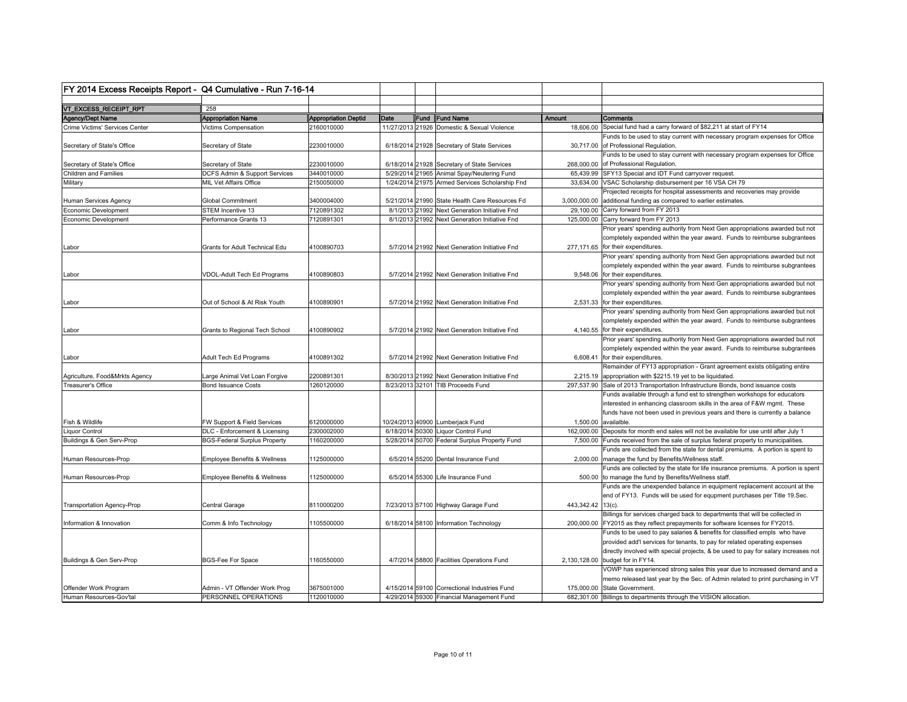| FY 2014 Excess Receipts Report - Q4 Cumulative - Run 7-16-14 |                                     |                             |      |                                                |                   |                                                                                                                      |
|--------------------------------------------------------------|-------------------------------------|-----------------------------|------|------------------------------------------------|-------------------|----------------------------------------------------------------------------------------------------------------------|
|                                                              |                                     |                             |      |                                                |                   |                                                                                                                      |
| VT_EXCESS_RECEIPT_RPT                                        | 258                                 |                             |      |                                                |                   |                                                                                                                      |
| Agency/Dept Name                                             | <b>Appropriation Name</b>           | <b>Appropriation Deptid</b> | Date | Fund Fund Name                                 | Amount            | Comments                                                                                                             |
| Crime Victims' Services Center                               | Victims Compensation                | 2160010000                  |      | 11/27/2013 21926 Domestic & Sexual Violence    |                   | 18,606.00 Special fund had a carry forward of \$82,211 at start of FY14                                              |
| Secretary of State's Office                                  | Secretary of State                  | 2230010000                  |      | 6/18/2014 21928 Secretary of State Services    |                   | Funds to be used to stay current with necessary program expenses for Office<br>30,717.00 of Professional Regulation. |
|                                                              |                                     |                             |      |                                                |                   | Funds to be used to stay current with necessary program expenses for Office                                          |
| Secretary of State's Office                                  | Secretary of State                  | 2230010000                  |      | 6/18/2014 21928 Secretary of State Services    |                   | 268,000.00 of Professional Regulation.                                                                               |
| Children and Families                                        | DCFS Admin & Support Services       | 3440010000                  |      | 5/29/2014 21965 Animal Spay/Neutering Fund     |                   | 65,439.99 SFY13 Special and IDT Fund carryover request.                                                              |
| Military                                                     | MIL Vet Affairs Office              | 2150050000                  |      | 1/24/2014 21975 Armed Services Scholarship Fnd |                   | 33,634.00 VSAC Scholarship disbursement per 16 VSA CH 79                                                             |
|                                                              |                                     |                             |      |                                                |                   | Projected receipts for hospital assessments and recoveries may provide                                               |
| Human Services Agency                                        | <b>Global Commitment</b>            | 3400004000                  |      | 5/21/2014 21990 State Health Care Resources Fd |                   | 3,000,000.00 additional funding as compared to earlier estimates.                                                    |
| Economic Development                                         | STEM Incentive 13                   | 7120891302                  |      | 8/1/2013 21992 Next Generation Initiative Fnd  |                   | 29,100.00 Carry forward from FY 2013                                                                                 |
| Economic Development                                         | Performance Grants 13               | 7120891301                  |      | 8/1/2013 21992 Next Generation Initiative Fnd  |                   | 125,000.00 Carry forward from FY 2013                                                                                |
|                                                              |                                     |                             |      |                                                |                   | Prior years' spending authority from Next Gen appropriations awarded but not                                         |
|                                                              |                                     |                             |      |                                                |                   | completely expended within the year award. Funds to reimburse subgrantees                                            |
| Labor                                                        | Grants for Adult Technical Edu      | 4100890703                  |      | 5/7/2014 21992 Next Generation Initiative Fnd  |                   | 277,171.65 for their expenditures.                                                                                   |
|                                                              |                                     |                             |      |                                                |                   | Prior years' spending authority from Next Gen appropriations awarded but not                                         |
|                                                              |                                     |                             |      |                                                |                   |                                                                                                                      |
|                                                              |                                     |                             |      |                                                |                   | completely expended within the year award. Funds to reimburse subgrantees                                            |
| Labor                                                        | VDOL-Adult Tech Ed Programs         | 4100890803                  |      | 5/7/2014 21992 Next Generation Initiative Fnd  |                   | 9,548.06 for their expenditures.                                                                                     |
|                                                              |                                     |                             |      |                                                |                   | Prior years' spending authority from Next Gen appropriations awarded but not                                         |
|                                                              |                                     |                             |      |                                                |                   | completely expended within the year award. Funds to reimburse subgrantees                                            |
| _abor                                                        | Out of School & At Risk Youth       | 4100890901                  |      | 5/7/2014 21992 Next Generation Initiative Fnd  |                   | 2,531.33 for their expenditures.                                                                                     |
|                                                              |                                     |                             |      |                                                |                   | Prior years' spending authority from Next Gen appropriations awarded but not                                         |
|                                                              |                                     |                             |      |                                                |                   | completely expended within the year award. Funds to reimburse subgrantees                                            |
| Labor                                                        | Grants to Regional Tech School      | 4100890902                  |      | 5/7/2014 21992 Next Generation Initiative Fnd  |                   | 4,140.55 for their expenditures.                                                                                     |
|                                                              |                                     |                             |      |                                                |                   | Prior years' spending authority from Next Gen appropriations awarded but not                                         |
|                                                              |                                     |                             |      |                                                |                   | completely expended within the year award. Funds to reimburse subgrantees                                            |
| Labor                                                        | Adult Tech Ed Programs              | 4100891302                  |      | 5/7/2014 21992 Next Generation Initiative Fnd  |                   | 6,608.41 for their expenditures.                                                                                     |
|                                                              |                                     |                             |      |                                                |                   | Remainder of FY13 appropriation - Grant agreement exists obligating entire                                           |
| Agriculture, Food&Mrkts Agency                               | Large Animal Vet Loan Forgive       | 2200891301                  |      | 8/30/2013 21992 Next Generation Initiative Fnd |                   | 2,215.19 appropriation with \$2215.19 yet to be liquidated.                                                          |
| Treasurer's Office                                           | <b>Bond Issuance Costs</b>          | 1260120000                  |      | 8/23/2013 32101 TIB Proceeds Fund              |                   | 297,537.90 Sale of 2013 Transportation Infrastructure Bonds, bond issuance costs                                     |
|                                                              |                                     |                             |      |                                                |                   | Funds available through a fund est to strengthen workshops for educators                                             |
|                                                              |                                     |                             |      |                                                |                   | interested in enhancing classroom skills in the area of F&W mgmt. These                                              |
|                                                              |                                     |                             |      |                                                |                   | funds have not been used in previous years and there is currently a balance                                          |
| Fish & Wildlife                                              | FW Support & Field Services         | 6120000000                  |      | 10/24/2013 40900 Lumberjack Fund               |                   | 1,500.00 available.                                                                                                  |
| iquor Control                                                | DLC - Enforcement & Licensing       | 2300002000                  |      | 6/18/2014 50300 Liquor Control Fund            |                   | 162,000.00 Deposits for month end sales will not be available for use until after July 1                             |
| Buildings & Gen Serv-Prop                                    | <b>BGS-Federal Surplus Property</b> | 1160200000                  |      | 5/28/2014 50700 Federal Surplus Property Fund  |                   | 7,500.00 Funds received from the sale of surplus federal property to municipalities.                                 |
|                                                              |                                     |                             |      |                                                |                   | Funds are collected from the state for dental premiums. A portion is spent to                                        |
|                                                              |                                     |                             |      |                                                |                   |                                                                                                                      |
| Iuman Resources-Prop                                         | Employee Benefits & Wellness        | 1125000000                  |      | 6/5/2014 55200 Dental Insurance Fund           |                   | 2,000.00 manage the fund by Benefits/Wellness staff.                                                                 |
|                                                              |                                     |                             |      |                                                |                   | Funds are collected by the state for life insurance premiums. A portion is spent                                     |
| Human Resources-Prop                                         | Employee Benefits & Wellness        | 1125000000                  |      | 6/5/2014 55300 Life Insurance Fund             |                   | 500.00 to manage the fund by Benefits/Wellness staff.                                                                |
|                                                              |                                     |                             |      |                                                |                   | Funds are the unexpended balance in equipment replacement account at the                                             |
|                                                              |                                     |                             |      |                                                |                   | end of FY13. Funds will be used for equpment purchases per Title 19.Sec.                                             |
| <b>Transportation Agency-Prop</b>                            | Central Garage                      | 8110000200                  |      | 7/23/2013 57100 Highway Garage Fund            | 443,342.42 13(c). |                                                                                                                      |
|                                                              |                                     |                             |      |                                                |                   | Billings for services charged back to departments that will be collected in                                          |
| Information & Innovation                                     | Comm & Info Technology              | 1105500000                  |      | 6/18/2014 58100 Information Technology         |                   | 200,000.00 FY2015 as they reflect prepayments for software licenses for FY2015.                                      |
|                                                              |                                     |                             |      |                                                |                   | Funds to be used to pay salaries & benefits for classified empls who have                                            |
|                                                              |                                     |                             |      |                                                |                   | provided add'l services for tenants, to pay for related operating expenses                                           |
|                                                              |                                     |                             |      |                                                |                   | directly involved with special projects, & be used to pay for salary increases not                                   |
| Buildings & Gen Serv-Prop                                    | <b>BGS-Fee For Space</b>            | 1160550000                  |      | 4/7/2014 58800 Facilities Operations Fund      |                   | 2,130,128.00 budget for in FY14.                                                                                     |
|                                                              |                                     |                             |      |                                                |                   | VOWP has experienced strong sales this year due to increased demand and a                                            |
|                                                              |                                     |                             |      |                                                |                   | memo released last year by the Sec. of Admin related to print purchasing in VT                                       |
| Offender Work Program                                        | Admin - VT Offender Work Prog       | 3675001000                  |      | 4/15/2014 59100 Correctional Industries Fund   |                   | 175,000.00 State Government.                                                                                         |
| Human Resources-Gov'tal                                      | PERSONNEL OPERATIONS                | 1120010000                  |      | 4/29/2014 59300 Financial Management Fund      |                   | 682,301.00 Billings to departments through the VISION allocation.                                                    |
|                                                              |                                     |                             |      |                                                |                   |                                                                                                                      |